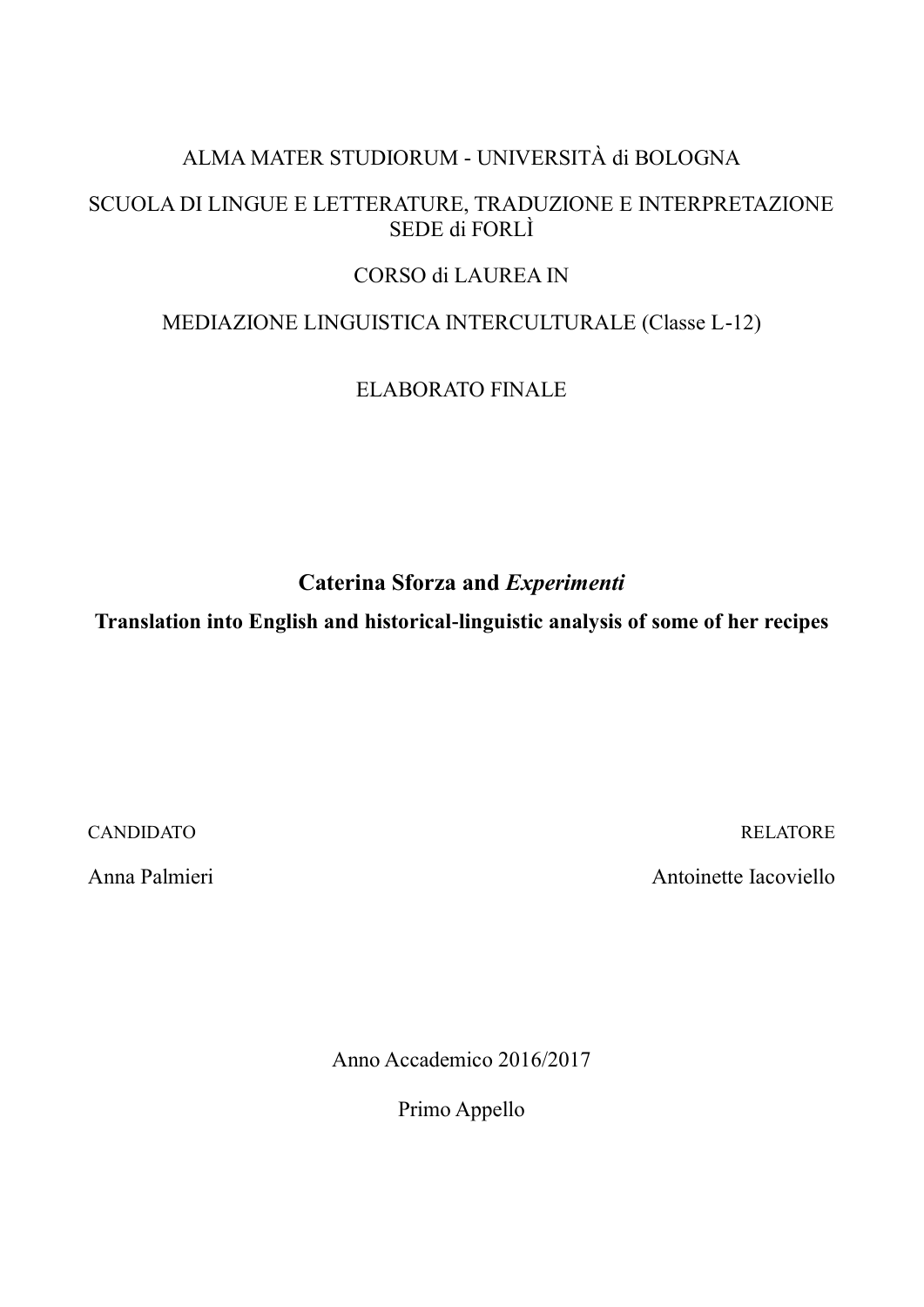# ALMA MATER STUDIORUM - UNIVERSITÀ di BOLOGNA

# SCUOLA DI LINGUE E LETTERATURE, TRADUZIONE E INTERPRETAZIONE SEDE di FORLÌ

# CORSO di LAUREA IN

# MEDIAZIONE LINGUISTICA INTERCULTURALE (Classe L-12)

# ELABORATO FINALE

**Caterina Sforza and** *Experimenti*

**Translation into English and historical-linguistic analysis of some of her recipes**

CANDIDATO RELATORE

Anna Palmieri **Antoinette Iacoviello** 

Anno Accademico 2016/2017

Primo Appello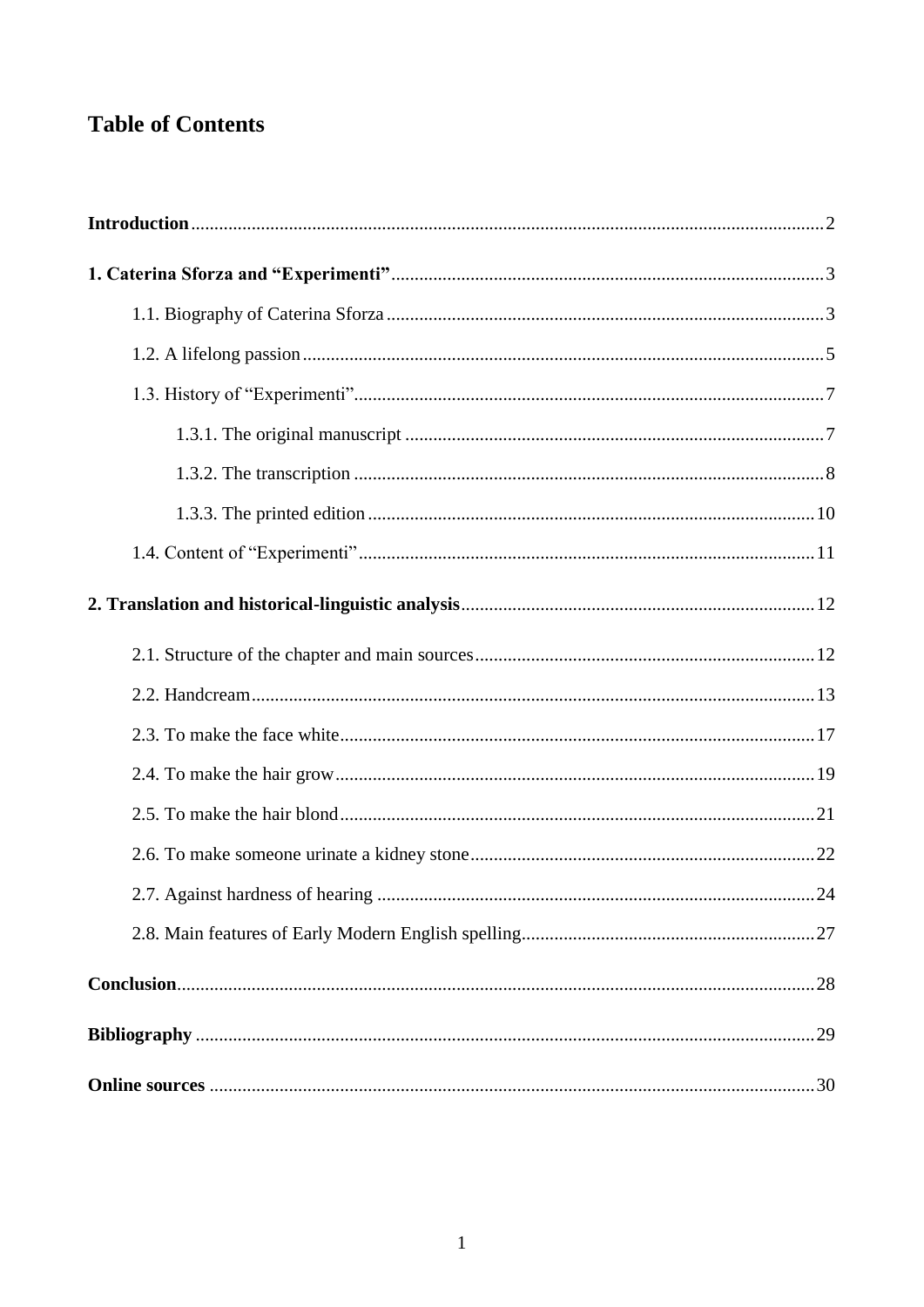# **Table of Contents**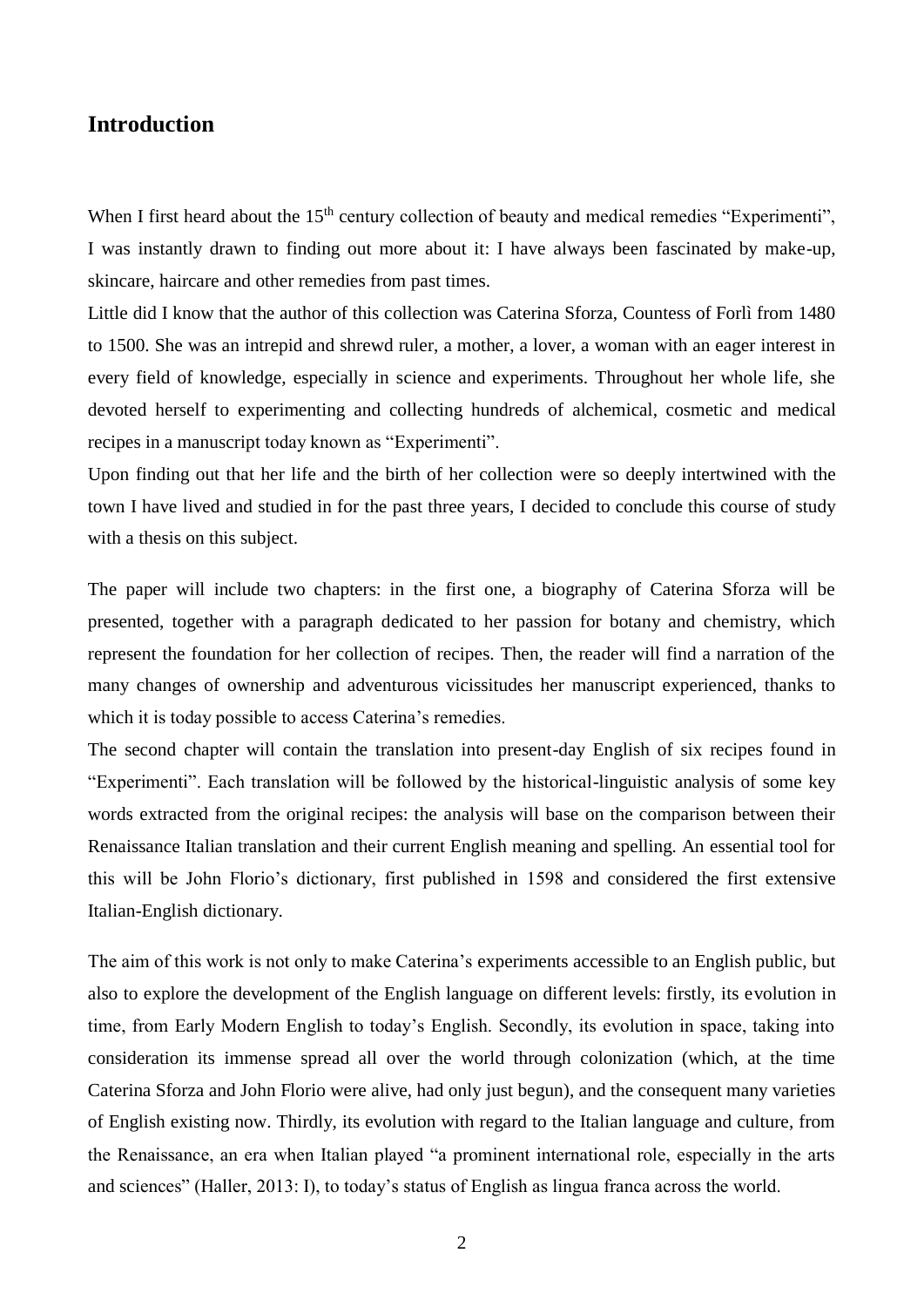# <span id="page-2-0"></span>**Introduction**

When I first heard about the 15<sup>th</sup> century collection of beauty and medical remedies "Experimenti", I was instantly drawn to finding out more about it: I have always been fascinated by make-up, skincare, haircare and other remedies from past times.

Little did I know that the author of this collection was Caterina Sforza, Countess of Forlì from 1480 to 1500. She was an intrepid and shrewd ruler, a mother, a lover, a woman with an eager interest in every field of knowledge, especially in science and experiments. Throughout her whole life, she devoted herself to experimenting and collecting hundreds of alchemical, cosmetic and medical recipes in a manuscript today known as "Experimenti".

Upon finding out that her life and the birth of her collection were so deeply intertwined with the town I have lived and studied in for the past three years, I decided to conclude this course of study with a thesis on this subject.

The paper will include two chapters: in the first one, a biography of Caterina Sforza will be presented, together with a paragraph dedicated to her passion for botany and chemistry, which represent the foundation for her collection of recipes. Then, the reader will find a narration of the many changes of ownership and adventurous vicissitudes her manuscript experienced, thanks to which it is today possible to access Caterina's remedies.

The second chapter will contain the translation into present-day English of six recipes found in "Experimenti". Each translation will be followed by the historical-linguistic analysis of some key words extracted from the original recipes: the analysis will base on the comparison between their Renaissance Italian translation and their current English meaning and spelling. An essential tool for this will be John Florio's dictionary, first published in 1598 and considered the first extensive Italian-English dictionary.

The aim of this work is not only to make Caterina's experiments accessible to an English public, but also to explore the development of the English language on different levels: firstly, its evolution in time, from Early Modern English to today's English. Secondly, its evolution in space, taking into consideration its immense spread all over the world through colonization (which, at the time Caterina Sforza and John Florio were alive, had only just begun), and the consequent many varieties of English existing now. Thirdly, its evolution with regard to the Italian language and culture, from the Renaissance, an era when Italian played "a prominent international role, especially in the arts and sciences" (Haller, 2013: I), to today's status of English as lingua franca across the world.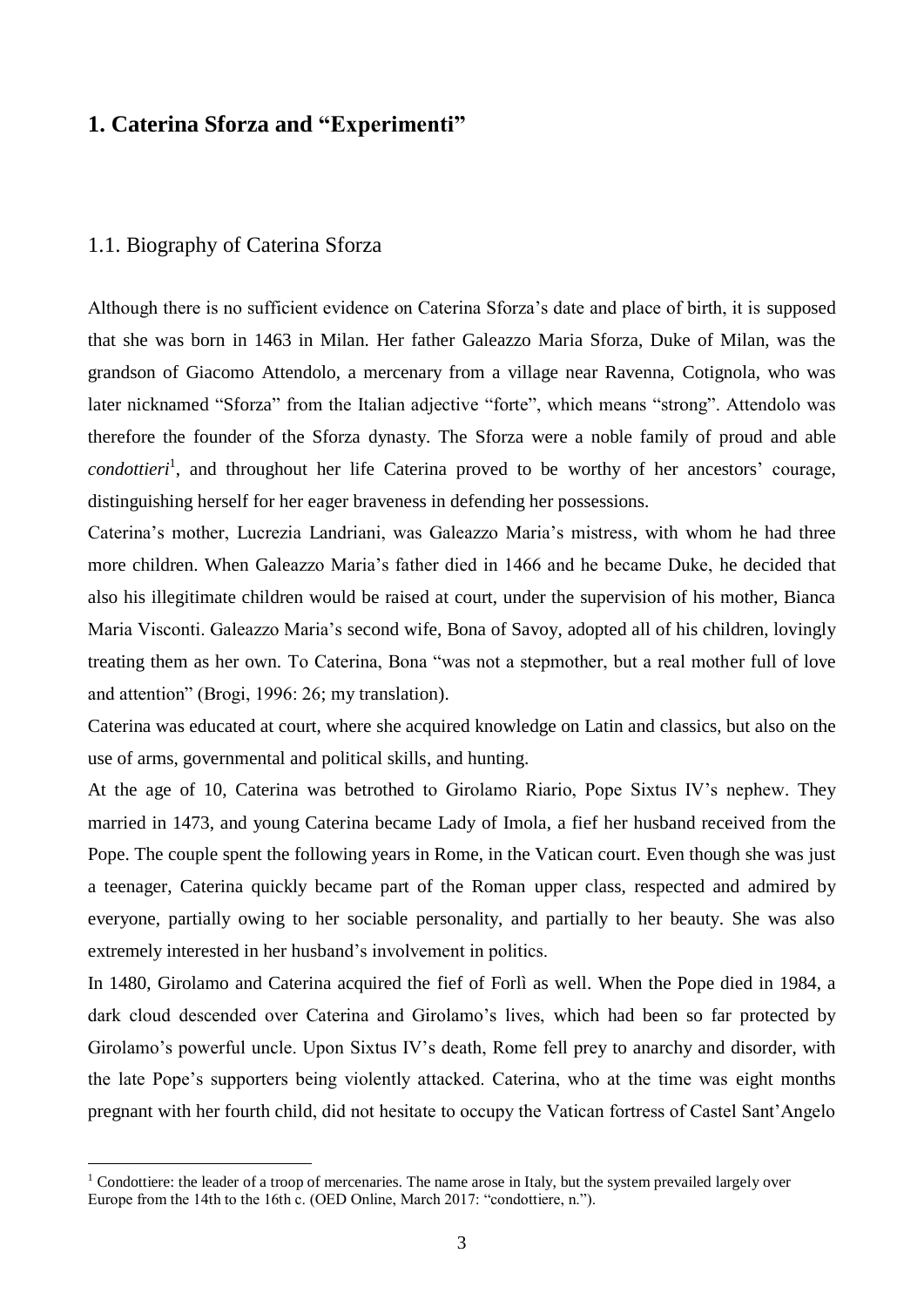### <span id="page-3-0"></span>**1. Caterina Sforza and "Experimenti"**

#### <span id="page-3-1"></span>1.1. Biography of Caterina Sforza

1

Although there is no sufficient evidence on Caterina Sforza's date and place of birth, it is supposed that she was born in 1463 in Milan. Her father Galeazzo Maria Sforza, Duke of Milan, was the grandson of Giacomo Attendolo, a mercenary from a village near Ravenna, Cotignola, who was later nicknamed "Sforza" from the Italian adjective "forte", which means "strong". Attendolo was therefore the founder of the Sforza dynasty. The Sforza were a noble family of proud and able condottieri<sup>1</sup>, and throughout her life Caterina proved to be worthy of her ancestors' courage, distinguishing herself for her eager braveness in defending her possessions.

Caterina's mother, Lucrezia Landriani, was Galeazzo Maria's mistress, with whom he had three more children. When Galeazzo Maria's father died in 1466 and he became Duke, he decided that also his illegitimate children would be raised at court, under the supervision of his mother, Bianca Maria Visconti. Galeazzo Maria's second wife, Bona of Savoy, adopted all of his children, lovingly treating them as her own. To Caterina, Bona "was not a stepmother, but a real mother full of love and attention" (Brogi, 1996: 26; my translation).

Caterina was educated at court, where she acquired knowledge on Latin and classics, but also on the use of arms, governmental and political skills, and hunting.

At the age of 10, Caterina was betrothed to Girolamo Riario, Pope Sixtus IV's nephew. They married in 1473, and young Caterina became Lady of Imola, a fief her husband received from the Pope. The couple spent the following years in Rome, in the Vatican court. Even though she was just a teenager, Caterina quickly became part of the Roman upper class, respected and admired by everyone, partially owing to her sociable personality, and partially to her beauty. She was also extremely interested in her husband's involvement in politics.

In 1480, Girolamo and Caterina acquired the fief of Forlì as well. When the Pope died in 1984, a dark cloud descended over Caterina and Girolamo's lives, which had been so far protected by Girolamo's powerful uncle. Upon Sixtus IV's death, Rome fell prey to anarchy and disorder, with the late Pope's supporters being violently attacked. Caterina, who at the time was eight months pregnant with her fourth child, did not hesitate to occupy the Vatican fortress of Castel Sant'Angelo

<sup>&</sup>lt;sup>1</sup> Condottiere: the leader of a troop of mercenaries. The name arose in Italy, but the system prevailed largely over Europe from the 14th to the 16th c. (OED Online, March 2017: "condottiere, n.").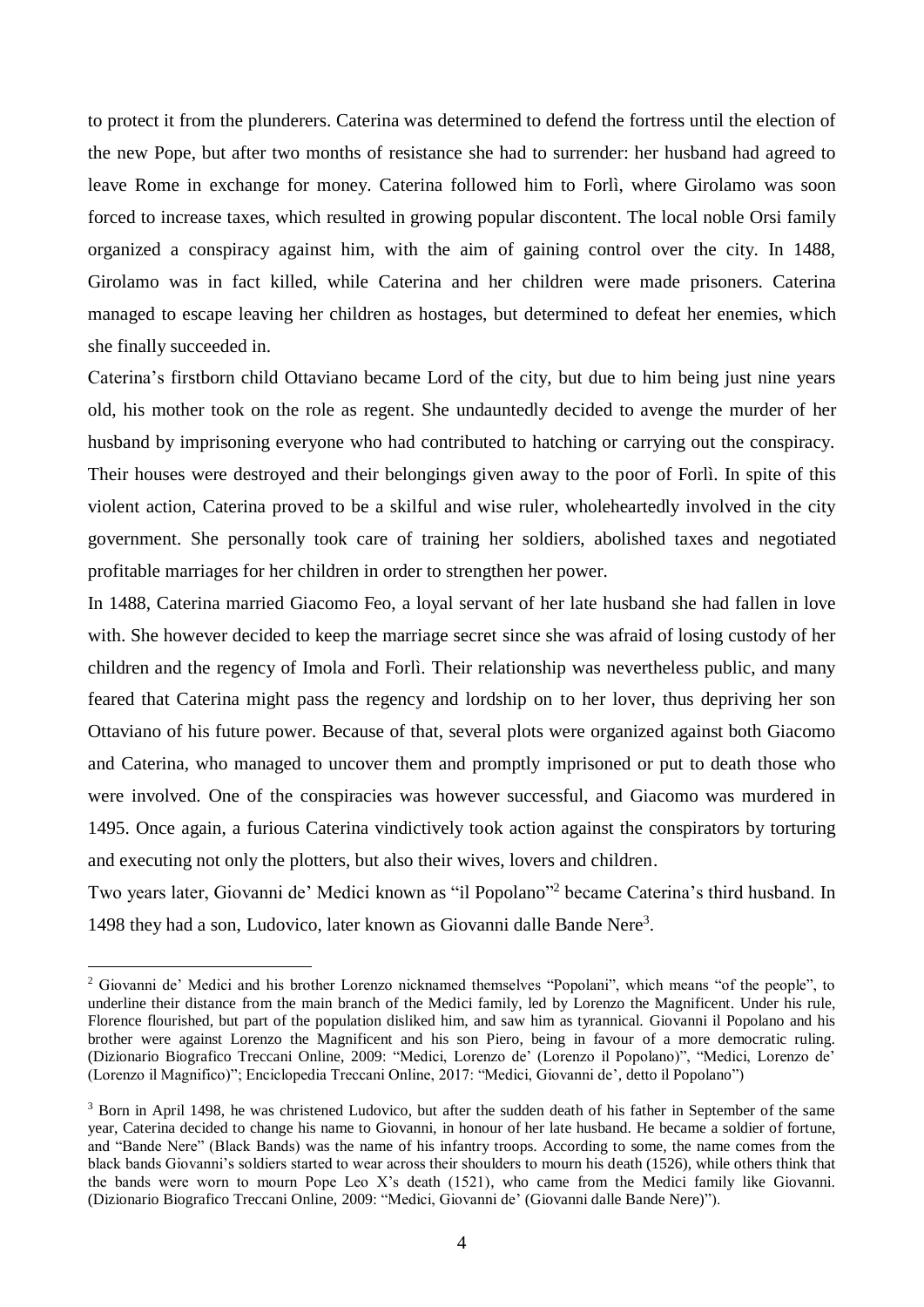to protect it from the plunderers. Caterina was determined to defend the fortress until the election of the new Pope, but after two months of resistance she had to surrender: her husband had agreed to leave Rome in exchange for money. Caterina followed him to Forlì, where Girolamo was soon forced to increase taxes, which resulted in growing popular discontent. The local noble Orsi family organized a conspiracy against him, with the aim of gaining control over the city. In 1488, Girolamo was in fact killed, while Caterina and her children were made prisoners. Caterina managed to escape leaving her children as hostages, but determined to defeat her enemies, which she finally succeeded in.

Caterina's firstborn child Ottaviano became Lord of the city, but due to him being just nine years old, his mother took on the role as regent. She undauntedly decided to avenge the murder of her husband by imprisoning everyone who had contributed to hatching or carrying out the conspiracy. Their houses were destroyed and their belongings given away to the poor of Forlì. In spite of this violent action, Caterina proved to be a skilful and wise ruler, wholeheartedly involved in the city government. She personally took care of training her soldiers, abolished taxes and negotiated profitable marriages for her children in order to strengthen her power.

In 1488, Caterina married Giacomo Feo, a loyal servant of her late husband she had fallen in love with. She however decided to keep the marriage secret since she was afraid of losing custody of her children and the regency of Imola and Forlì. Their relationship was nevertheless public, and many feared that Caterina might pass the regency and lordship on to her lover, thus depriving her son Ottaviano of his future power. Because of that, several plots were organized against both Giacomo and Caterina, who managed to uncover them and promptly imprisoned or put to death those who were involved. One of the conspiracies was however successful, and Giacomo was murdered in 1495. Once again, a furious Caterina vindictively took action against the conspirators by torturing and executing not only the plotters, but also their wives, lovers and children.

Two years later, Giovanni de' Medici known as "il Popolano" 2 became Caterina's third husband. In 1498 they had a son, Ludovico, later known as Giovanni dalle Bande Nere<sup>3</sup>.

<u>.</u>

<sup>&</sup>lt;sup>2</sup> Giovanni de' Medici and his brother Lorenzo nicknamed themselves "Popolani", which means "of the people", to underline their distance from the main branch of the Medici family, led by Lorenzo the Magnificent. Under his rule, Florence flourished, but part of the population disliked him, and saw him as tyrannical. Giovanni il Popolano and his brother were against Lorenzo the Magnificent and his son Piero, being in favour of a more democratic ruling. (Dizionario Biografico Treccani Online, 2009: "Medici, Lorenzo de' (Lorenzo il Popolano)", "Medici, Lorenzo de' (Lorenzo il Magnifico)"; Enciclopedia Treccani Online, 2017: "Medici, Giovanni de', detto il Popolano")

<sup>&</sup>lt;sup>3</sup> Born in April 1498, he was christened Ludovico, but after the sudden death of his father in September of the same year, Caterina decided to change his name to Giovanni, in honour of her late husband. He became a soldier of fortune, and "Bande Nere" (Black Bands) was the name of his infantry troops. According to some, the name comes from the black bands Giovanni's soldiers started to wear across their shoulders to mourn his death (1526), while others think that the bands were worn to mourn Pope Leo X's death (1521), who came from the Medici family like Giovanni. (Dizionario Biografico Treccani Online, 2009: "Medici, Giovanni de' (Giovanni dalle Bande Nere)").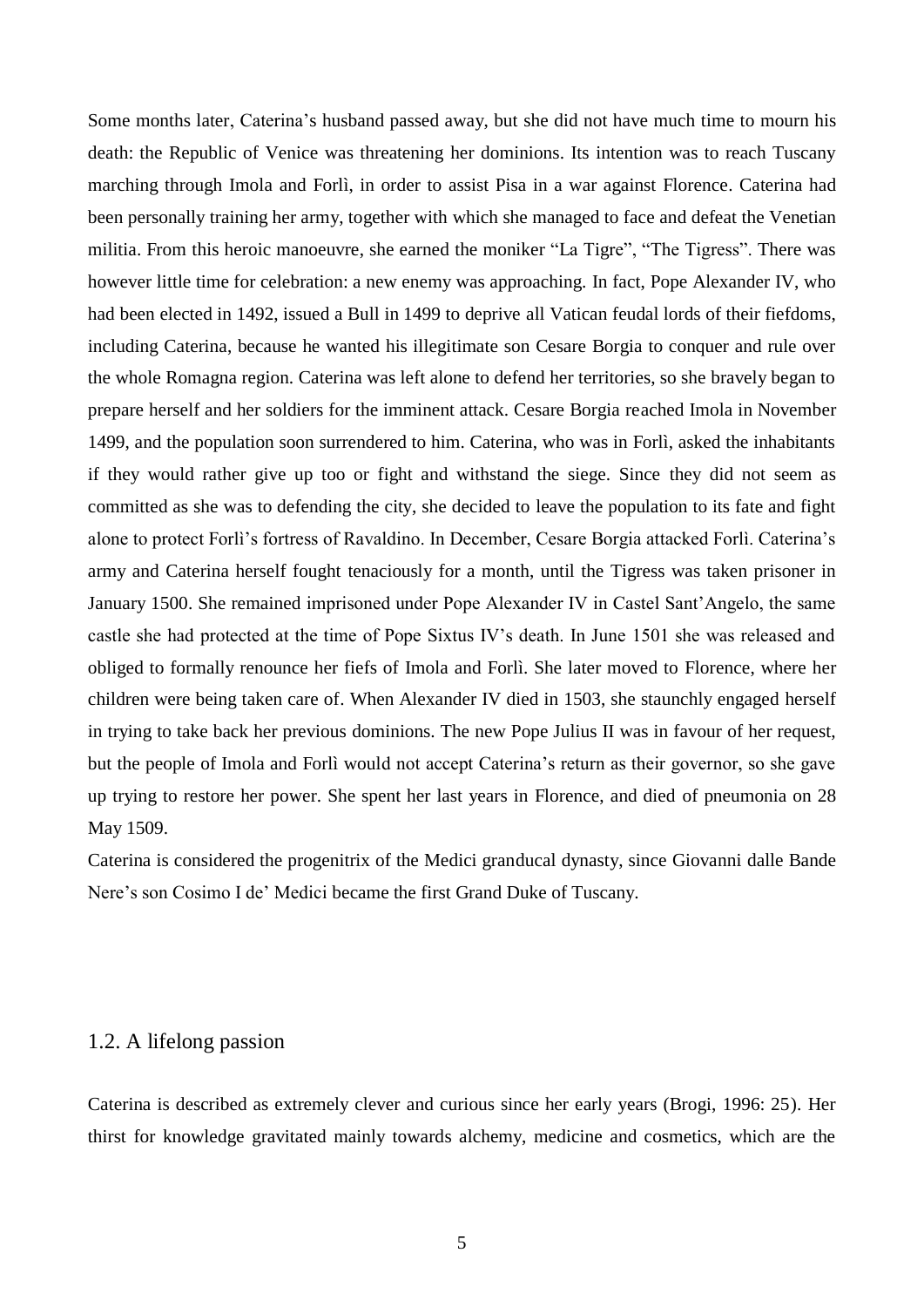Some months later, Caterina's husband passed away, but she did not have much time to mourn his death: the Republic of Venice was threatening her dominions. Its intention was to reach Tuscany marching through Imola and Forlì, in order to assist Pisa in a war against Florence. Caterina had been personally training her army, together with which she managed to face and defeat the Venetian militia. From this heroic manoeuvre, she earned the moniker "La Tigre", "The Tigress". There was however little time for celebration: a new enemy was approaching. In fact, Pope Alexander IV, who had been elected in 1492, issued a Bull in 1499 to deprive all Vatican feudal lords of their fiefdoms, including Caterina, because he wanted his illegitimate son Cesare Borgia to conquer and rule over the whole Romagna region. Caterina was left alone to defend her territories, so she bravely began to prepare herself and her soldiers for the imminent attack. Cesare Borgia reached Imola in November 1499, and the population soon surrendered to him. Caterina, who was in Forlì, asked the inhabitants if they would rather give up too or fight and withstand the siege. Since they did not seem as committed as she was to defending the city, she decided to leave the population to its fate and fight alone to protect Forlì's fortress of Ravaldino. In December, Cesare Borgia attacked Forlì. Caterina's army and Caterina herself fought tenaciously for a month, until the Tigress was taken prisoner in January 1500. She remained imprisoned under Pope Alexander IV in Castel Sant'Angelo, the same castle she had protected at the time of Pope Sixtus IV's death. In June 1501 she was released and obliged to formally renounce her fiefs of Imola and Forlì. She later moved to Florence, where her children were being taken care of. When Alexander IV died in 1503, she staunchly engaged herself in trying to take back her previous dominions. The new Pope Julius II was in favour of her request, but the people of Imola and Forlì would not accept Caterina's return as their governor, so she gave up trying to restore her power. She spent her last years in Florence, and died of pneumonia on 28 May 1509.

Caterina is considered the progenitrix of the Medici granducal dynasty, since Giovanni dalle Bande Nere's son Cosimo I de' Medici became the first Grand Duke of Tuscany.

### <span id="page-5-0"></span>1.2. A lifelong passion

Caterina is described as extremely clever and curious since her early years (Brogi, 1996: 25). Her thirst for knowledge gravitated mainly towards alchemy, medicine and cosmetics, which are the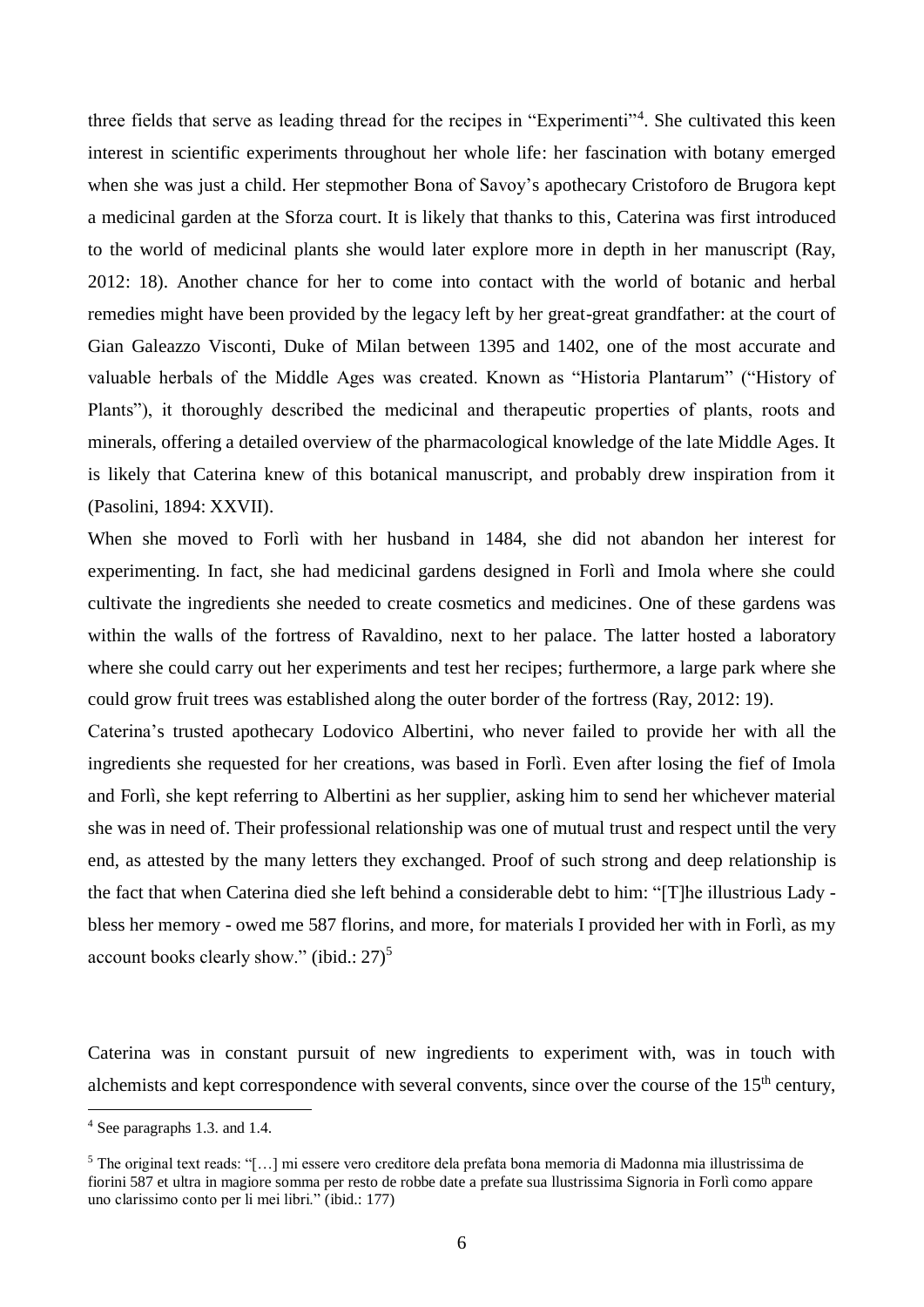three fields that serve as leading thread for the recipes in "Experimenti"<sup>4</sup>. She cultivated this keen interest in scientific experiments throughout her whole life: her fascination with botany emerged when she was just a child. Her stepmother Bona of Savoy's apothecary Cristoforo de Brugora kept a medicinal garden at the Sforza court. It is likely that thanks to this, Caterina was first introduced to the world of medicinal plants she would later explore more in depth in her manuscript (Ray, 2012: 18). Another chance for her to come into contact with the world of botanic and herbal remedies might have been provided by the legacy left by her great-great grandfather: at the court of Gian Galeazzo Visconti, Duke of Milan between 1395 and 1402, one of the most accurate and valuable herbals of the Middle Ages was created. Known as "Historia Plantarum" ("History of Plants"), it thoroughly described the medicinal and therapeutic properties of plants, roots and minerals, offering a detailed overview of the pharmacological knowledge of the late Middle Ages. It is likely that Caterina knew of this botanical manuscript, and probably drew inspiration from it (Pasolini, 1894: XXVII).

When she moved to Forlì with her husband in 1484, she did not abandon her interest for experimenting. In fact, she had medicinal gardens designed in Forlì and Imola where she could cultivate the ingredients she needed to create cosmetics and medicines. One of these gardens was within the walls of the fortress of Ravaldino, next to her palace. The latter hosted a laboratory where she could carry out her experiments and test her recipes; furthermore, a large park where she could grow fruit trees was established along the outer border of the fortress (Ray, 2012: 19).

Caterina's trusted apothecary Lodovico Albertini, who never failed to provide her with all the ingredients she requested for her creations, was based in Forlì. Even after losing the fief of Imola and Forlì, she kept referring to Albertini as her supplier, asking him to send her whichever material she was in need of. Their professional relationship was one of mutual trust and respect until the very end, as attested by the many letters they exchanged. Proof of such strong and deep relationship is the fact that when Caterina died she left behind a considerable debt to him: "[T]he illustrious Lady bless her memory - owed me 587 florins, and more, for materials I provided her with in Forlì, as my account books clearly show." (ibid.:  $27$ )<sup>5</sup>

Caterina was in constant pursuit of new ingredients to experiment with, was in touch with alchemists and kept correspondence with several convents, since over the course of the  $15<sup>th</sup>$  century,

<u>.</u>

<sup>4</sup> See paragraphs 1.3. and 1.4.

<sup>5</sup> The original text reads: "[…] mi essere vero creditore dela prefata bona memoria di Madonna mia illustrissima de fiorini 587 et ultra in magiore somma per resto de robbe date a prefate sua llustrissima Signoria in Forlì como appare uno clarissimo conto per li mei libri." (ibid.: 177)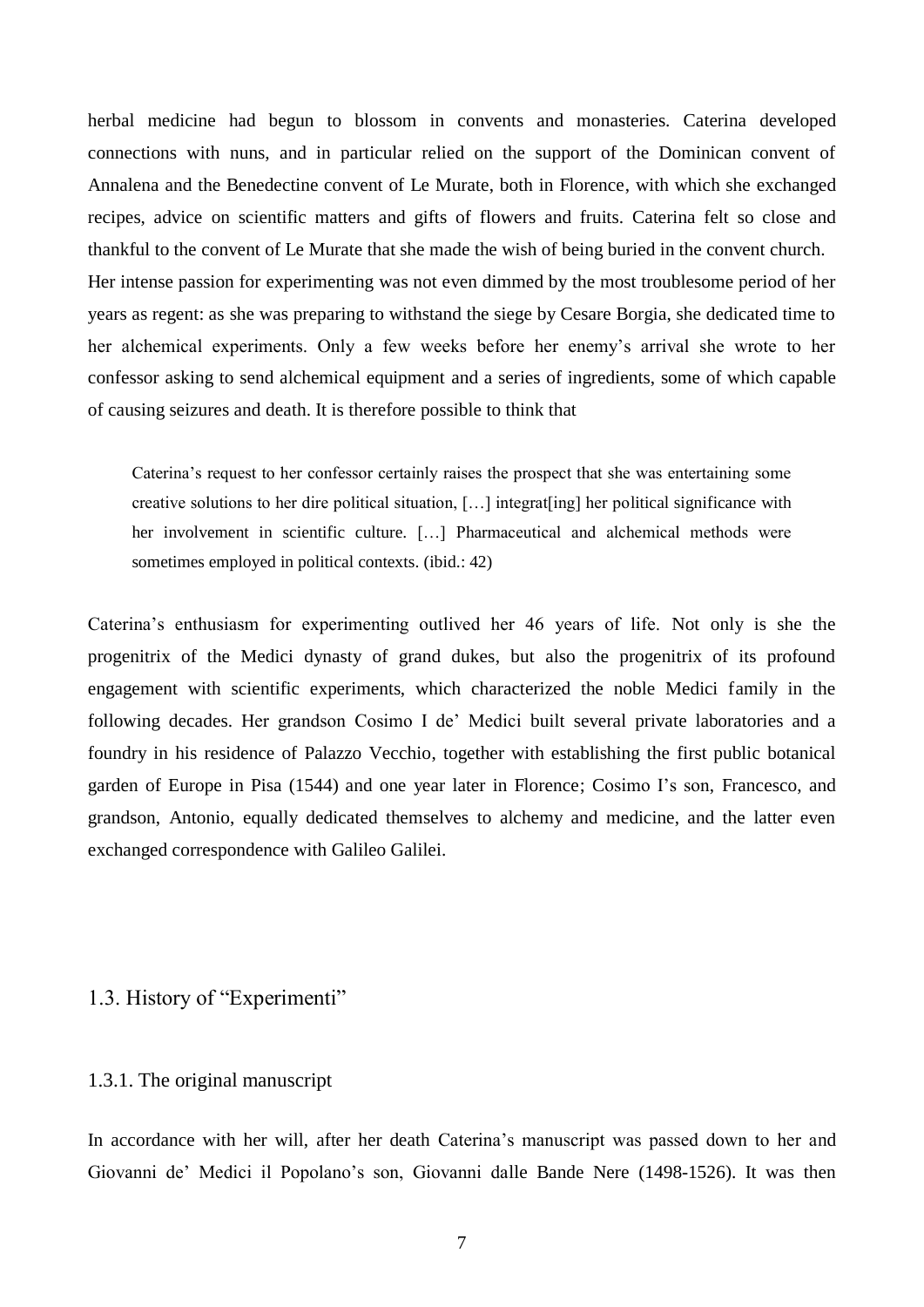herbal medicine had begun to blossom in convents and monasteries. Caterina developed connections with nuns, and in particular relied on the support of the Dominican convent of Annalena and the Benedectine convent of Le Murate, both in Florence, with which she exchanged recipes, advice on scientific matters and gifts of flowers and fruits. Caterina felt so close and thankful to the convent of Le Murate that she made the wish of being buried in the convent church. Her intense passion for experimenting was not even dimmed by the most troublesome period of her years as regent: as she was preparing to withstand the siege by Cesare Borgia, she dedicated time to her alchemical experiments. Only a few weeks before her enemy's arrival she wrote to her confessor asking to send alchemical equipment and a series of ingredients, some of which capable of causing seizures and death. It is therefore possible to think that

Caterina's request to her confessor certainly raises the prospect that she was entertaining some creative solutions to her dire political situation, […] integrat[ing] her political significance with her involvement in scientific culture. […] Pharmaceutical and alchemical methods were sometimes employed in political contexts. (ibid.: 42)

Caterina's enthusiasm for experimenting outlived her 46 years of life. Not only is she the progenitrix of the Medici dynasty of grand dukes, but also the progenitrix of its profound engagement with scientific experiments, which characterized the noble Medici family in the following decades. Her grandson Cosimo I de' Medici built several private laboratories and a foundry in his residence of Palazzo Vecchio, together with establishing the first public botanical garden of Europe in Pisa (1544) and one year later in Florence; Cosimo I's son, Francesco, and grandson, Antonio, equally dedicated themselves to alchemy and medicine, and the latter even exchanged correspondence with Galileo Galilei.

### <span id="page-7-0"></span>1.3. History of "Experimenti"

### <span id="page-7-1"></span>1.3.1. The original manuscript

In accordance with her will, after her death Caterina's manuscript was passed down to her and Giovanni de' Medici il Popolano's son, Giovanni dalle Bande Nere (1498-1526). It was then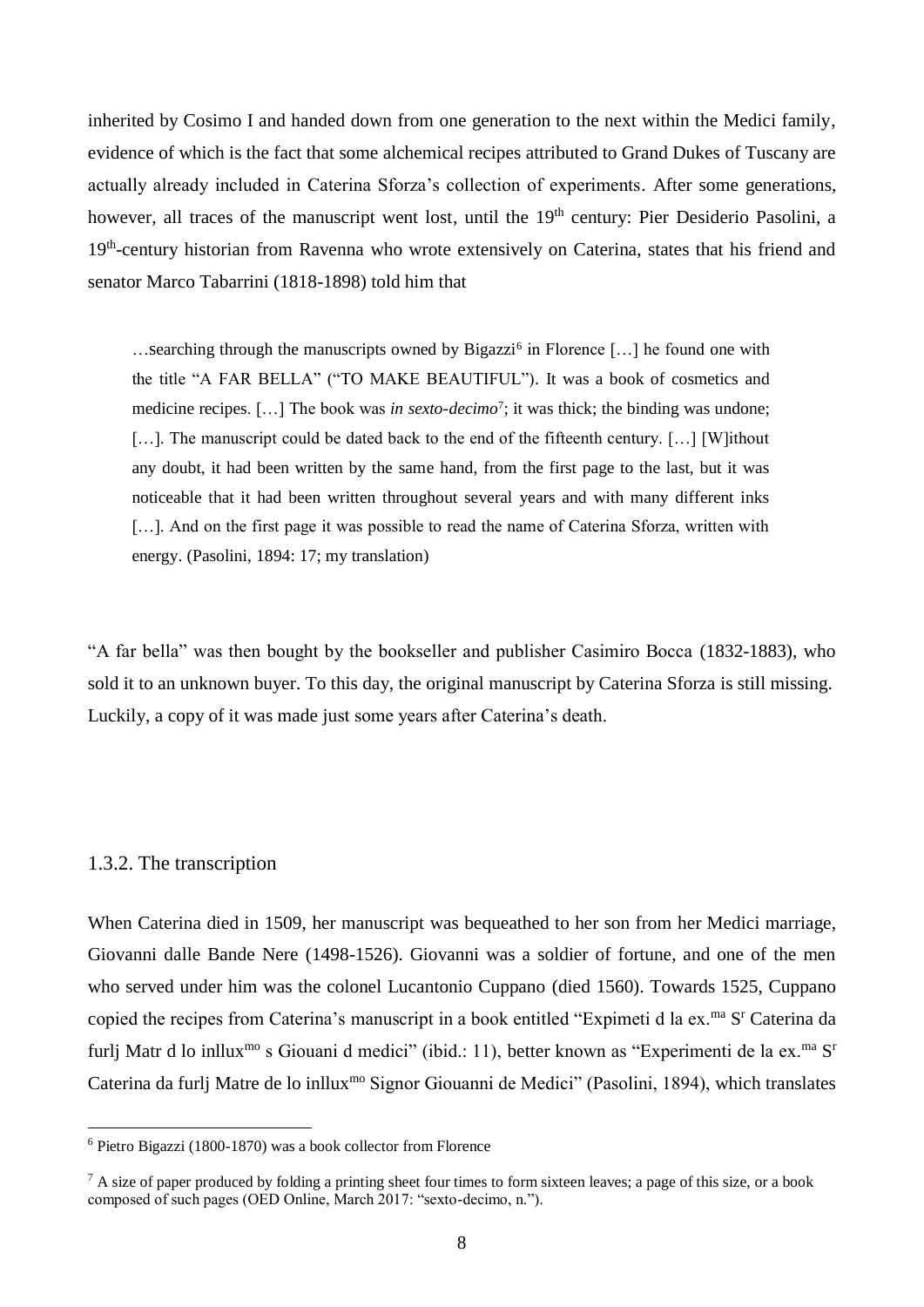inherited by Cosimo I and handed down from one generation to the next within the Medici family, evidence of which is the fact that some alchemical recipes attributed to Grand Dukes of Tuscany are actually already included in Caterina Sforza's collection of experiments. After some generations, however, all traces of the manuscript went lost, until the 19<sup>th</sup> century: Pier Desiderio Pasolini, a 19<sup>th</sup>-century historian from Ravenna who wrote extensively on Caterina, states that his friend and senator Marco Tabarrini (1818-1898) told him that

...searching through the manuscripts owned by Bigazzi<sup>6</sup> in Florence [...] he found one with the title "A FAR BELLA" ("TO MAKE BEAUTIFUL"). It was a book of cosmetics and medicine recipes. [...] The book was *in sexto-decimo*<sup>7</sup>; it was thick; the binding was undone; [...]. The manuscript could be dated back to the end of the fifteenth century. [...] [W]ithout any doubt, it had been written by the same hand, from the first page to the last, but it was noticeable that it had been written throughout several years and with many different inks [...]. And on the first page it was possible to read the name of Caterina Sforza, written with energy. (Pasolini, 1894: 17; my translation)

"A far bella" was then bought by the bookseller and publisher Casimiro Bocca (1832-1883), who sold it to an unknown buyer. To this day, the original manuscript by Caterina Sforza is still missing. Luckily, a copy of it was made just some years after Caterina's death.

### <span id="page-8-0"></span>1.3.2. The transcription

<u>.</u>

When Caterina died in 1509, her manuscript was bequeathed to her son from her Medici marriage, Giovanni dalle Bande Nere (1498-1526). Giovanni was a soldier of fortune, and one of the men who served under him was the colonel Lucantonio Cuppano (died 1560). Towards 1525, Cuppano copied the recipes from Caterina's manuscript in a book entitled "Expimeti d la ex.<sup>ma</sup> S<sup>r</sup> Caterina da furlj Matr d lo inllux<sup>mo</sup> s Giouani d medici" (ibid.: 11), better known as "Experimenti de la ex.<sup>ma</sup> S<sup>r</sup> Caterina da furlj Matre de lo inllux<sup>mo</sup> Signor Giouanni de Medici" (Pasolini, 1894), which translates

<sup>6</sup> Pietro Bigazzi (1800-1870) was a book collector from Florence

 $^7$  A size of paper produced by folding a printing sheet four times to form sixteen leaves; a page of this size, or a book composed of such pages (OED Online, March 2017: "sexto-decimo, n.").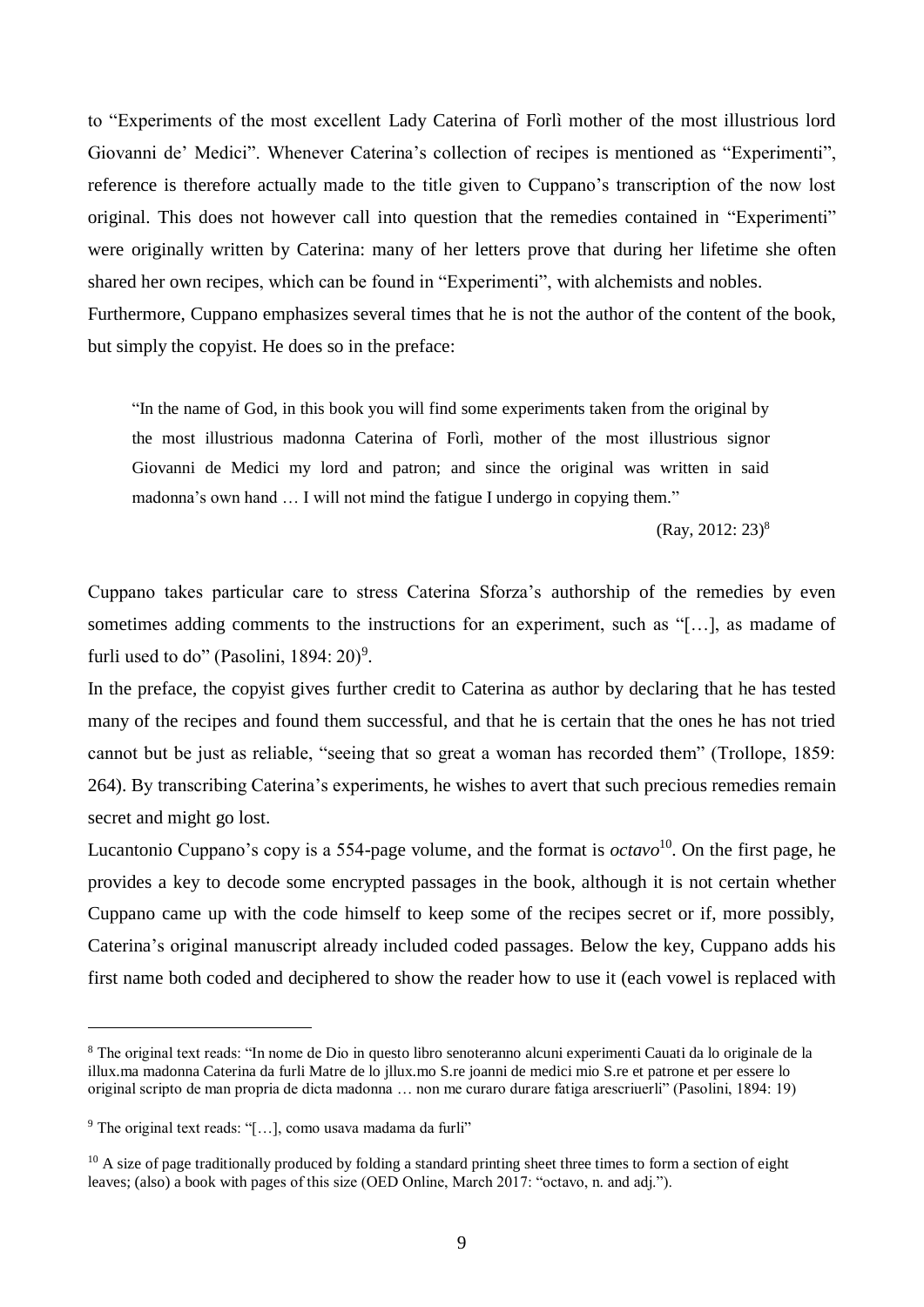to "Experiments of the most excellent Lady Caterina of Forlì mother of the most illustrious lord Giovanni de' Medici". Whenever Caterina's collection of recipes is mentioned as "Experimenti", reference is therefore actually made to the title given to Cuppano's transcription of the now lost original. This does not however call into question that the remedies contained in "Experimenti" were originally written by Caterina: many of her letters prove that during her lifetime she often shared her own recipes, which can be found in "Experimenti", with alchemists and nobles. Furthermore, Cuppano emphasizes several times that he is not the author of the content of the book, but simply the copyist. He does so in the preface:

"In the name of God, in this book you will find some experiments taken from the original by the most illustrious madonna Caterina of Forlì, mother of the most illustrious signor Giovanni de Medici my lord and patron; and since the original was written in said madonna's own hand … I will not mind the fatigue I undergo in copying them."

(Ray, 2012: 23)<sup>8</sup>

Cuppano takes particular care to stress Caterina Sforza's authorship of the remedies by even sometimes adding comments to the instructions for an experiment, such as "[…], as madame of furli used to do" (Pasolini,  $1894:20$ )<sup>9</sup>.

In the preface, the copyist gives further credit to Caterina as author by declaring that he has tested many of the recipes and found them successful, and that he is certain that the ones he has not tried cannot but be just as reliable, "seeing that so great a woman has recorded them" (Trollope, 1859: 264). By transcribing Caterina's experiments, he wishes to avert that such precious remedies remain secret and might go lost.

Lucantonio Cuppano's copy is a 554-page volume, and the format is *octavo*<sup>10</sup>. On the first page, he provides a key to decode some encrypted passages in the book, although it is not certain whether Cuppano came up with the code himself to keep some of the recipes secret or if, more possibly, Caterina's original manuscript already included coded passages. Below the key, Cuppano adds his first name both coded and deciphered to show the reader how to use it (each vowel is replaced with

<u>.</u>

<sup>8</sup> The original text reads: "In nome de Dio in questo libro senoteranno alcuni experimenti Cauati da lo originale de la illux.ma madonna Caterina da furli Matre de lo jllux.mo S.re joanni de medici mio S.re et patrone et per essere lo original scripto de man propria de dicta madonna … non me curaro durare fatiga arescriuerli" (Pasolini, 1894: 19)

<sup>&</sup>lt;sup>9</sup> The original text reads: "[...], como usava madama da furli"

 $10$  A size of page traditionally produced by folding a standard printing sheet three times to form a section of eight leaves; (also) a book with pages of this size (OED Online, March 2017: "octavo, n. and adj.").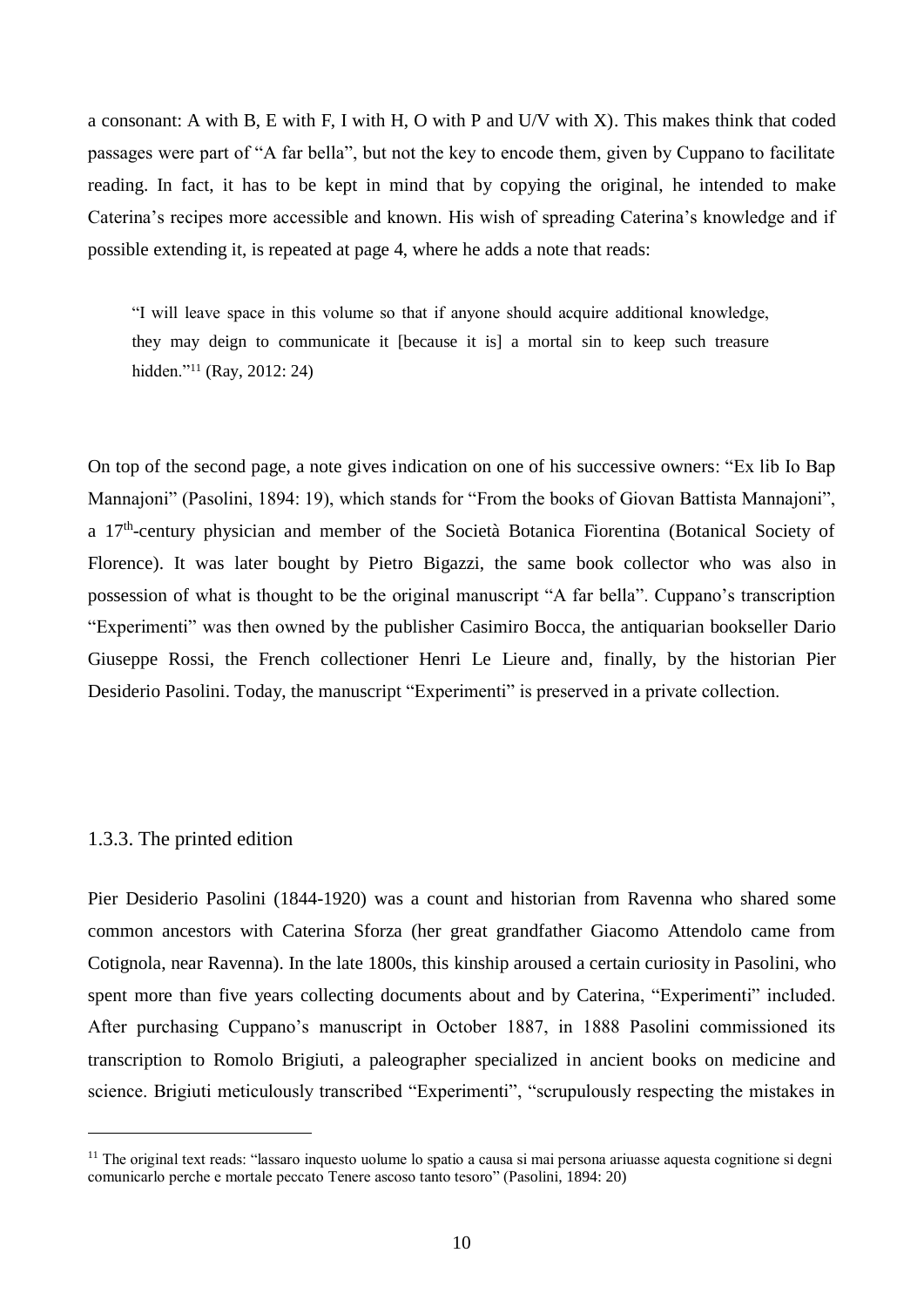a consonant: A with B, E with F, I with H, O with P and U/V with X). This makes think that coded passages were part of "A far bella", but not the key to encode them, given by Cuppano to facilitate reading. In fact, it has to be kept in mind that by copying the original, he intended to make Caterina's recipes more accessible and known. His wish of spreading Caterina's knowledge and if possible extending it, is repeated at page 4, where he adds a note that reads:

"I will leave space in this volume so that if anyone should acquire additional knowledge, they may deign to communicate it [because it is] a mortal sin to keep such treasure hidden."<sup>11</sup> (Ray, 2012: 24)

On top of the second page, a note gives indication on one of his successive owners: "Ex lib Io Bap Mannajoni" (Pasolini, 1894: 19), which stands for "From the books of Giovan Battista Mannajoni", a 17<sup>th</sup>-century physician and member of the Società Botanica Fiorentina (Botanical Society of Florence). It was later bought by Pietro Bigazzi, the same book collector who was also in possession of what is thought to be the original manuscript "A far bella". Cuppano's transcription "Experimenti" was then owned by the publisher Casimiro Bocca, the antiquarian bookseller Dario Giuseppe Rossi, the French collectioner Henri Le Lieure and, finally, by the historian Pier Desiderio Pasolini. Today, the manuscript "Experimenti" is preserved in a private collection.

#### <span id="page-10-0"></span>1.3.3. The printed edition

1

Pier Desiderio Pasolini (1844-1920) was a count and historian from Ravenna who shared some common ancestors with Caterina Sforza (her great grandfather Giacomo Attendolo came from Cotignola, near Ravenna). In the late 1800s, this kinship aroused a certain curiosity in Pasolini, who spent more than five years collecting documents about and by Caterina, "Experimenti" included. After purchasing Cuppano's manuscript in October 1887, in 1888 Pasolini commissioned its transcription to Romolo Brigiuti, a paleographer specialized in ancient books on medicine and science. Brigiuti meticulously transcribed "Experimenti", "scrupulously respecting the mistakes in

 $<sup>11</sup>$  The original text reads: "lassaro inquesto uolume lo spatio a causa si mai persona ariuasse aquesta cognitione si degni</sup> comunicarlo perche e mortale peccato Tenere ascoso tanto tesoro" (Pasolini, 1894: 20)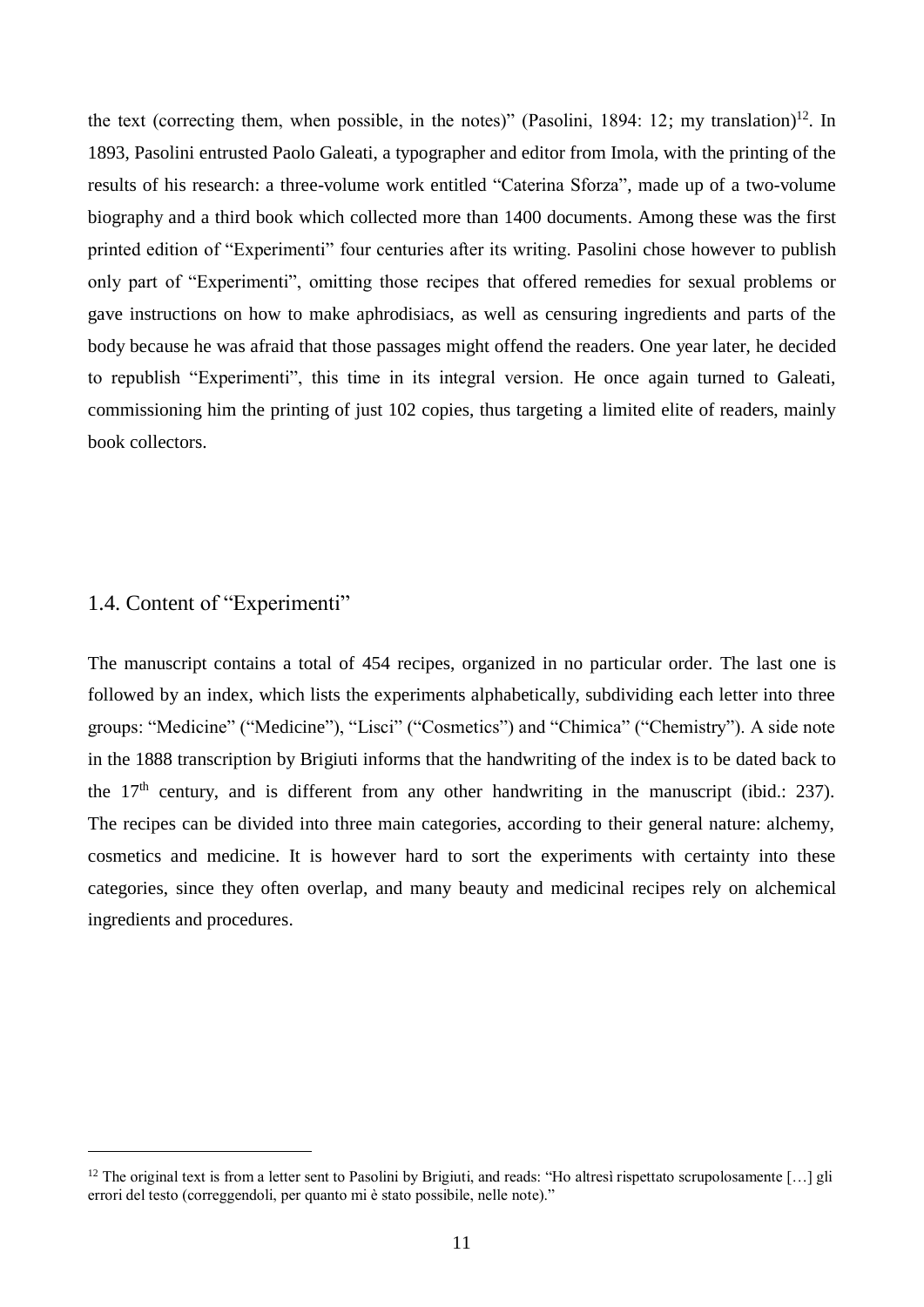the text (correcting them, when possible, in the notes)" (Pasolini, 1894: 12; my translation)<sup>12</sup>. In 1893, Pasolini entrusted Paolo Galeati, a typographer and editor from Imola, with the printing of the results of his research: a three-volume work entitled "Caterina Sforza", made up of a two-volume biography and a third book which collected more than 1400 documents. Among these was the first printed edition of "Experimenti" four centuries after its writing. Pasolini chose however to publish only part of "Experimenti", omitting those recipes that offered remedies for sexual problems or gave instructions on how to make aphrodisiacs, as well as censuring ingredients and parts of the body because he was afraid that those passages might offend the readers. One year later, he decided to republish "Experimenti", this time in its integral version. He once again turned to Galeati, commissioning him the printing of just 102 copies, thus targeting a limited elite of readers, mainly book collectors.

### <span id="page-11-0"></span>1.4. Content of "Experimenti"

<u>.</u>

The manuscript contains a total of 454 recipes, organized in no particular order. The last one is followed by an index, which lists the experiments alphabetically, subdividing each letter into three groups: "Medicine" ("Medicine"), "Lisci" ("Cosmetics") and "Chimica" ("Chemistry"). A side note in the 1888 transcription by Brigiuti informs that the handwriting of the index is to be dated back to the  $17<sup>th</sup>$  century, and is different from any other handwriting in the manuscript (ibid.: 237). The recipes can be divided into three main categories, according to their general nature: alchemy, cosmetics and medicine. It is however hard to sort the experiments with certainty into these categories, since they often overlap, and many beauty and medicinal recipes rely on alchemical ingredients and procedures.

<sup>&</sup>lt;sup>12</sup> The original text is from a letter sent to Pasolini by Brigiuti, and reads: "Ho altresì rispettato scrupolosamente [...] gli errori del testo (correggendoli, per quanto mi è stato possibile, nelle note)."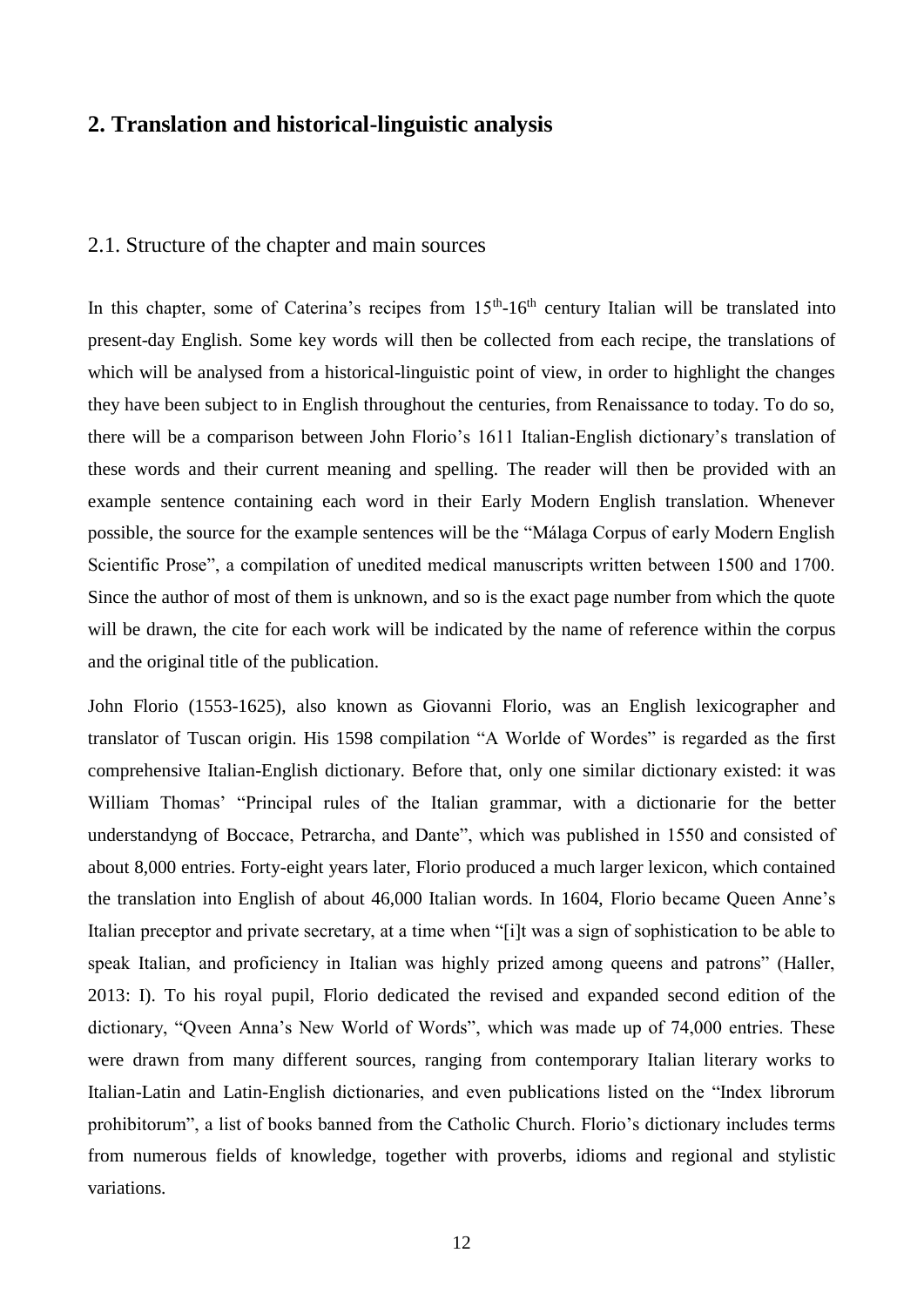### <span id="page-12-0"></span>**2. Translation and historical-linguistic analysis**

#### <span id="page-12-1"></span>2.1. Structure of the chapter and main sources

In this chapter, some of Caterina's recipes from  $15<sup>th</sup>$ -16<sup>th</sup> century Italian will be translated into present-day English. Some key words will then be collected from each recipe, the translations of which will be analysed from a historical-linguistic point of view, in order to highlight the changes they have been subject to in English throughout the centuries, from Renaissance to today. To do so, there will be a comparison between John Florio's 1611 Italian-English dictionary's translation of these words and their current meaning and spelling. The reader will then be provided with an example sentence containing each word in their Early Modern English translation. Whenever possible, the source for the example sentences will be the "Málaga Corpus of early Modern English Scientific Prose", a compilation of unedited medical manuscripts written between 1500 and 1700. Since the author of most of them is unknown, and so is the exact page number from which the quote will be drawn, the cite for each work will be indicated by the name of reference within the corpus and the original title of the publication.

John Florio (1553-1625), also known as Giovanni Florio, was an English lexicographer and translator of Tuscan origin. His 1598 compilation "A Worlde of Wordes" is regarded as the first comprehensive Italian-English dictionary. Before that, only one similar dictionary existed: it was William Thomas' "Principal rules of the Italian grammar, with a dictionarie for the better understandyng of Boccace, Petrarcha, and Dante", which was published in 1550 and consisted of about 8,000 entries. Forty-eight years later, Florio produced a much larger lexicon, which contained the translation into English of about 46,000 Italian words. In 1604, Florio became Queen Anne's Italian preceptor and private secretary, at a time when "[i]t was a sign of sophistication to be able to speak Italian, and proficiency in Italian was highly prized among queens and patrons" (Haller, 2013: I). To his royal pupil, Florio dedicated the revised and expanded second edition of the dictionary, "Qveen Anna's New World of Words", which was made up of 74,000 entries. These were drawn from many different sources, ranging from contemporary Italian literary works to Italian-Latin and Latin-English dictionaries, and even publications listed on the "Index librorum prohibitorum", a list of books banned from the Catholic Church. Florio's dictionary includes terms from numerous fields of knowledge, together with proverbs, idioms and regional and stylistic variations.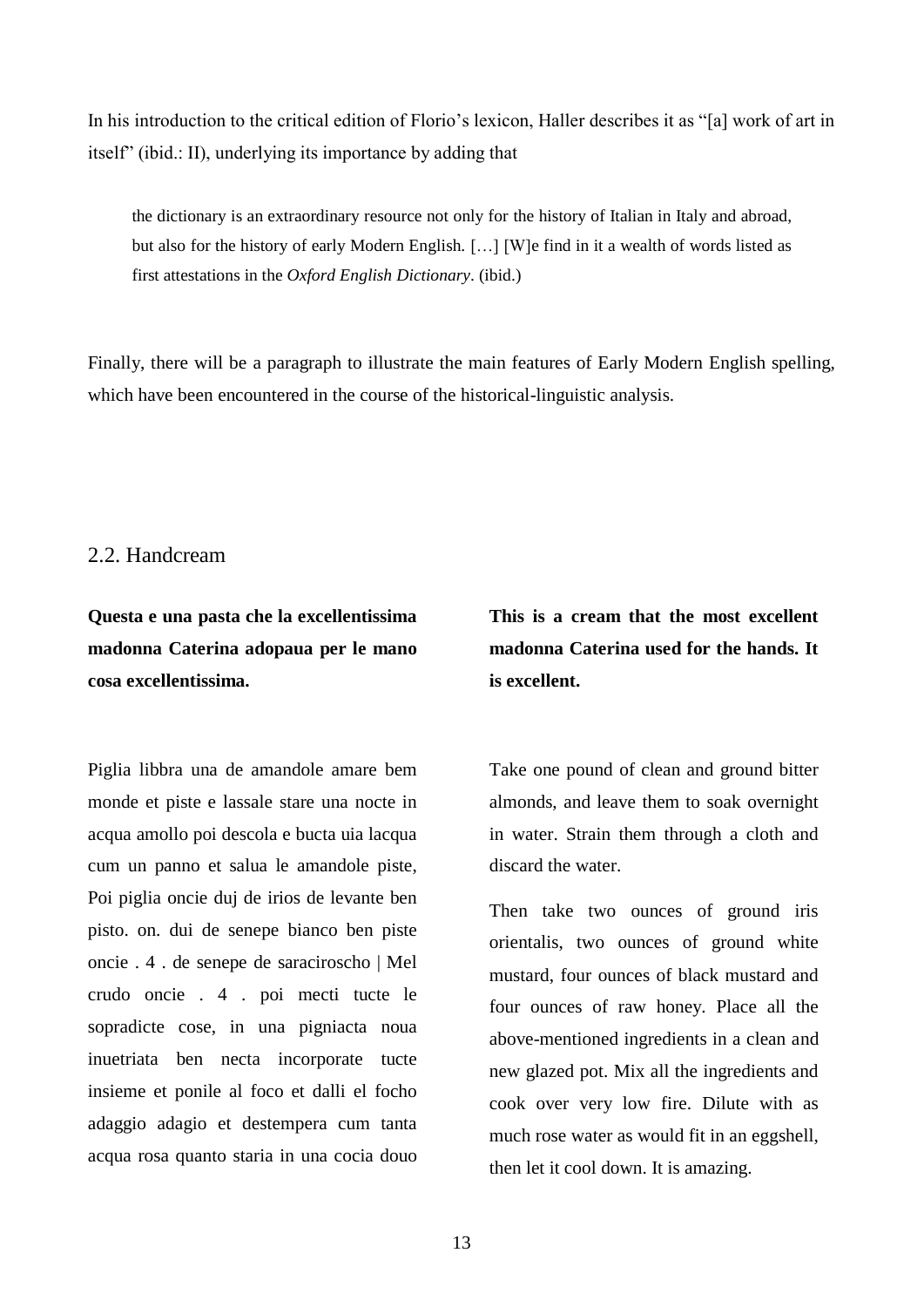In his introduction to the critical edition of Florio's lexicon, Haller describes it as "[a] work of art in itself" (ibid.: II), underlying its importance by adding that

the dictionary is an extraordinary resource not only for the history of Italian in Italy and abroad, but also for the history of early Modern English. […] [W]e find in it a wealth of words listed as first attestations in the *Oxford English Dictionary*. (ibid.)

Finally, there will be a paragraph to illustrate the main features of Early Modern English spelling, which have been encountered in the course of the historical-linguistic analysis.

#### <span id="page-13-0"></span>2.2. Handcream

**Questa e una pasta che la excellentissima madonna Caterina adopaua per le mano cosa excellentissima.**

Piglia libbra una de amandole amare bem monde et piste e lassale stare una nocte in acqua amollo poi descola e bucta uia lacqua cum un panno et salua le amandole piste, Poi piglia oncie duj de irios de levante ben pisto. on. dui de senepe bianco ben piste oncie . 4 . de senepe de saraciroscho | Mel crudo oncie . 4 . poi mecti tucte le sopradicte cose, in una pigniacta noua inuetriata ben necta incorporate tucte insieme et ponile al foco et dalli el focho adaggio adagio et destempera cum tanta acqua rosa quanto staria in una cocia douo **This is a cream that the most excellent madonna Caterina used for the hands. It is excellent.**

Take one pound of clean and ground bitter almonds, and leave them to soak overnight in water. Strain them through a cloth and discard the water.

Then take two ounces of ground iris orientalis, two ounces of ground white mustard, four ounces of black mustard and four ounces of raw honey. Place all the above-mentioned ingredients in a clean and new glazed pot. Mix all the ingredients and cook over very low fire. Dilute with as much rose water as would fit in an eggshell, then let it cool down. It is amazing.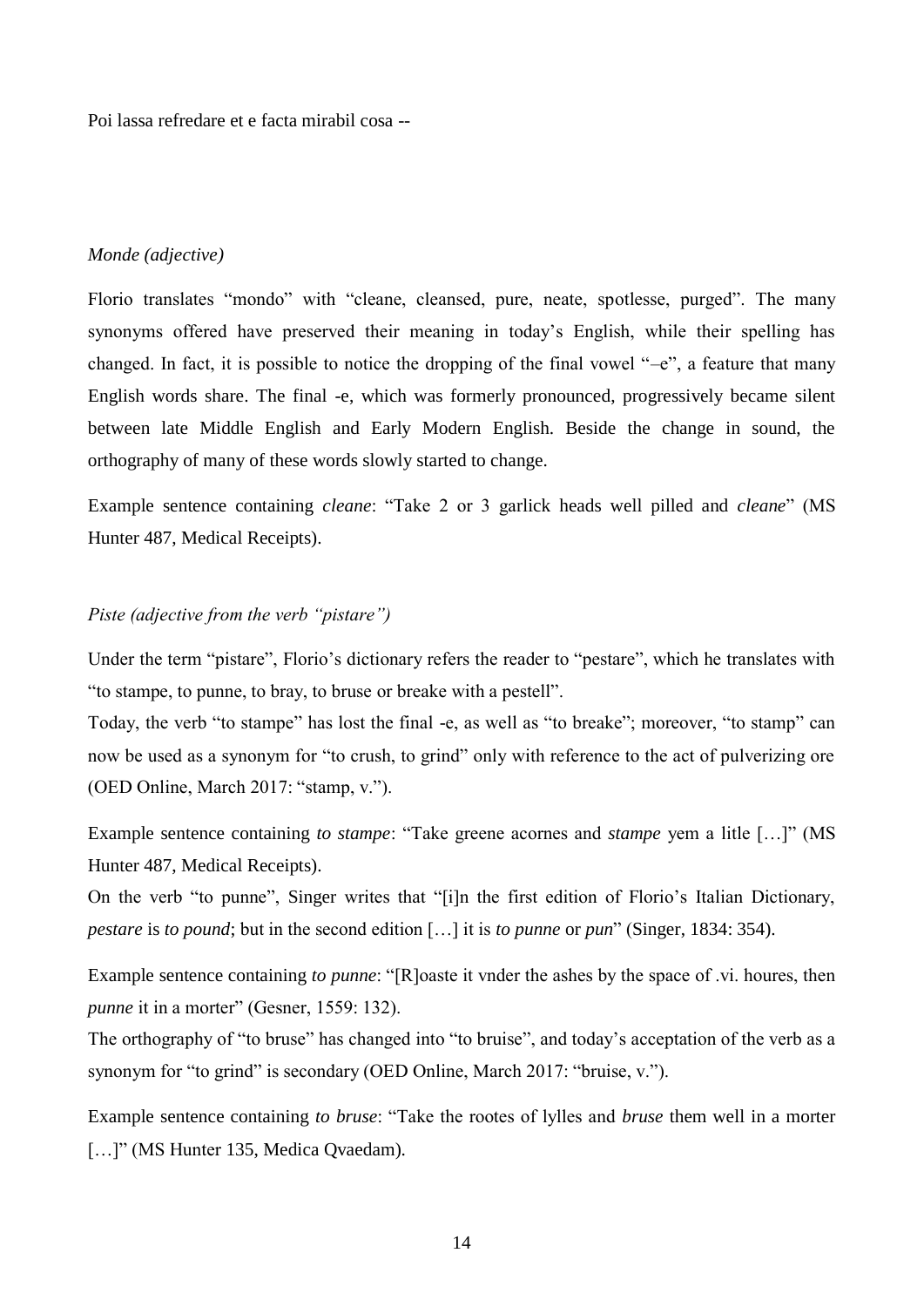Poi lassa refredare et e facta mirabil cosa --

#### *Monde (adjective)*

Florio translates "mondo" with "cleane, cleansed, pure, neate, spotlesse, purged". The many synonyms offered have preserved their meaning in today's English, while their spelling has changed. In fact, it is possible to notice the dropping of the final vowel "–e", a feature that many English words share. The final -e, which was formerly pronounced, progressively became silent between late Middle English and Early Modern English. Beside the change in sound, the orthography of many of these words slowly started to change.

Example sentence containing *cleane*: "Take 2 or 3 garlick heads well pilled and *cleane*" (MS Hunter 487, Medical Receipts).

#### *Piste (adjective from the verb "pistare")*

Under the term "pistare", Florio's dictionary refers the reader to "pestare", which he translates with "to stampe, to punne, to bray, to bruse or breake with a pestell".

Today, the verb "to stampe" has lost the final -e, as well as "to breake"; moreover, "to stamp" can now be used as a synonym for "to crush, to grind" only with reference to the act of pulverizing ore (OED Online, March 2017: "stamp, v.").

Example sentence containing *to stampe*: "Take greene acornes and *stampe* yem a litle […]" (MS Hunter 487, Medical Receipts).

On the verb "to punne", Singer writes that "[i]n the first edition of Florio's Italian Dictionary, *pestare* is *to pound*; but in the second edition […] it is *to punne* or *pun*" (Singer, 1834: 354).

Example sentence containing *to punne*: "[R]oaste it vnder the ashes by the space of .vi. houres, then *punne* it in a morter" (Gesner, 1559: 132).

The orthography of "to bruse" has changed into "to bruise", and today's acceptation of the verb as a synonym for "to grind" is secondary (OED Online, March 2017: "bruise, v.").

Example sentence containing *to bruse*: "Take the rootes of lylles and *bruse* them well in a morter [...]" (MS Hunter 135, Medica Qvaedam).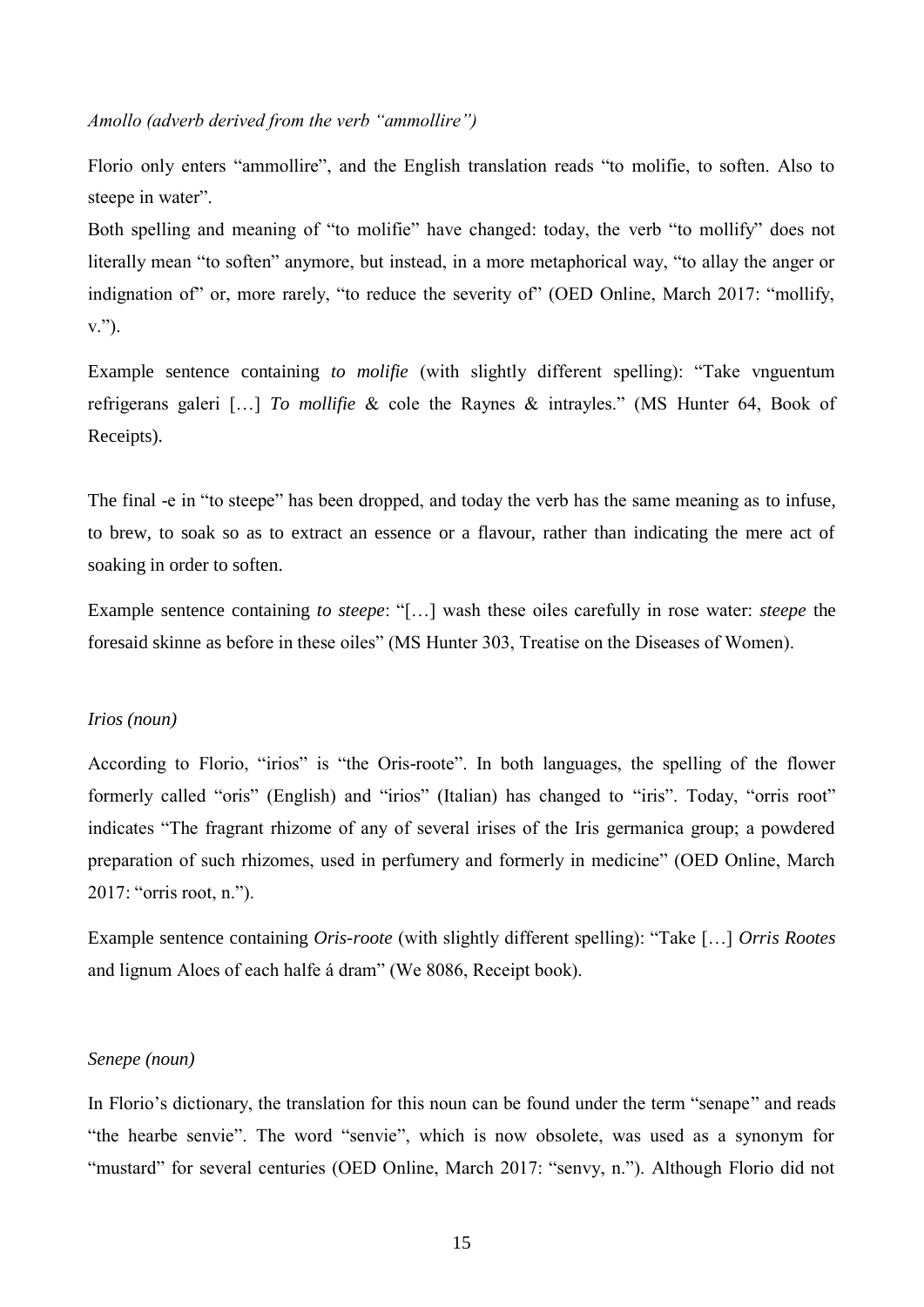#### *Amollo (adverb derived from the verb "ammollire")*

Florio only enters "ammollire", and the English translation reads "to molifie, to soften. Also to steepe in water".

Both spelling and meaning of "to molifie" have changed: today, the verb "to mollify" does not literally mean "to soften" anymore, but instead, in a more metaphorical way, "to allay the anger or indignation of" or, more rarely, "to reduce the severity of" (OED Online, March 2017: "mollify, v.").

Example sentence containing *to molifie* (with slightly different spelling): "Take vnguentum refrigerans galeri […] *To mollifie* & cole the Raynes & intrayles." (MS Hunter 64, Book of Receipts).

The final -e in "to steepe" has been dropped, and today the verb has the same meaning as to infuse, to brew, to soak so as to extract an essence or a flavour, rather than indicating the mere act of soaking in order to soften.

Example sentence containing *to steepe*: "[…] wash these oiles carefully in rose water: *steepe* the foresaid skinne as before in these oiles" (MS Hunter 303, Treatise on the Diseases of Women).

#### *Irios (noun)*

According to Florio, "irios" is "the Oris-roote". In both languages, the spelling of the flower formerly called "oris" (English) and "irios" (Italian) has changed to "iris". Today, "orris root" indicates "The fragrant rhizome of any of several irises of the Iris germanica group; a powdered preparation of such rhizomes, used in perfumery and formerly in medicine" (OED Online, March 2017: "orris root, n.").

Example sentence containing *Oris-roote* (with slightly different spelling): "Take […] *Orris Rootes* and lignum Aloes of each halfe á dram" (We 8086, Receipt book).

#### *Senepe (noun)*

In Florio's dictionary, the translation for this noun can be found under the term "senape" and reads "the hearbe senvie". The word "senvie", which is now obsolete, was used as a synonym for "mustard" for several centuries (OED Online, March 2017: "senvy, n."). Although Florio did not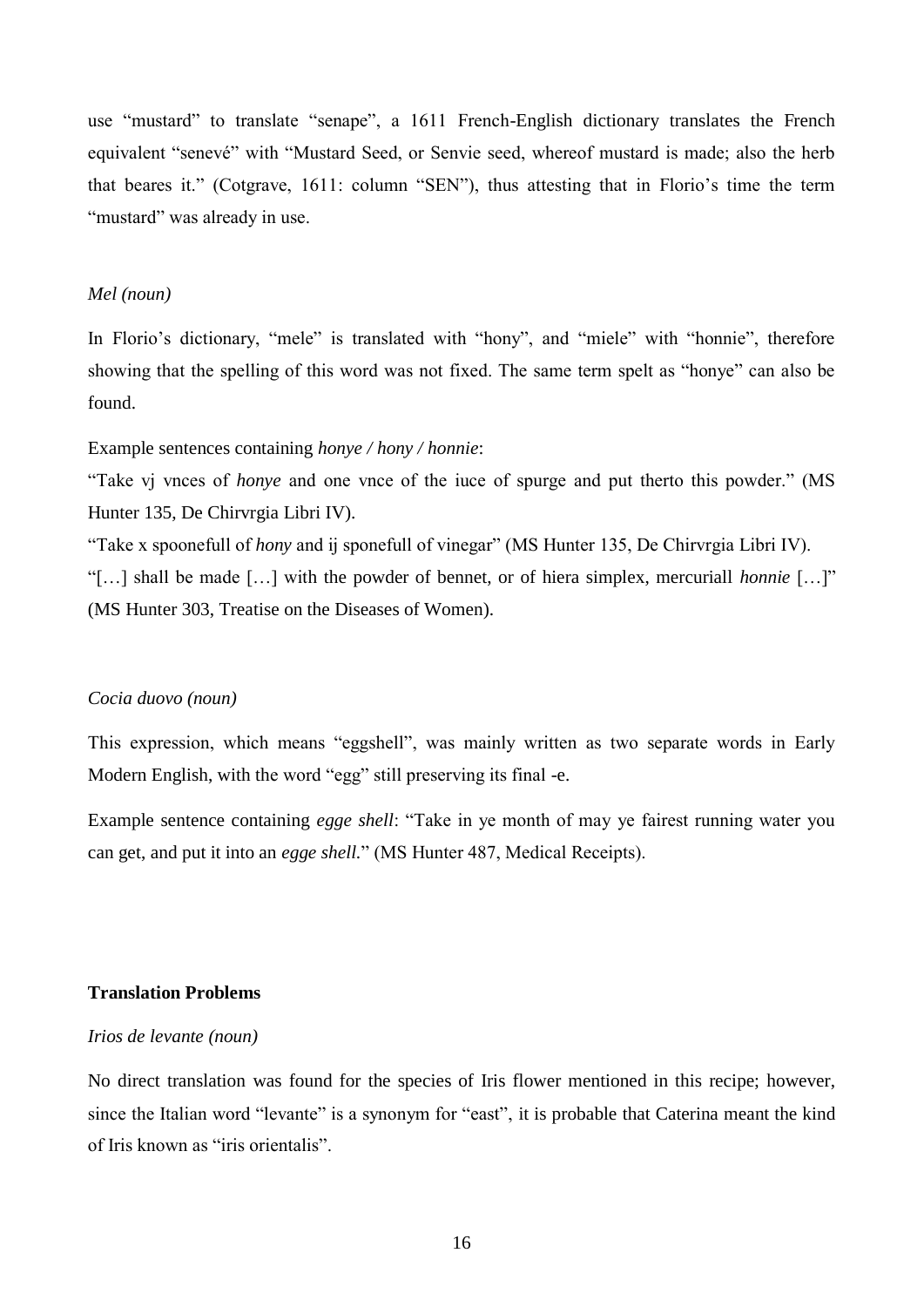use "mustard" to translate "senape", a 1611 French-English dictionary translates the French equivalent "senevé" with "Mustard Seed, or Senvie seed, whereof mustard is made; also the herb that beares it." (Cotgrave, 1611: column "SEN"), thus attesting that in Florio's time the term "mustard" was already in use.

#### *Mel (noun)*

In Florio's dictionary, "mele" is translated with "hony", and "miele" with "honnie", therefore showing that the spelling of this word was not fixed. The same term spelt as "honye" can also be found.

### Example sentences containing *honye / hony / honnie*:

"Take vj vnces of *honye* and one vnce of the iuce of spurge and put therto this powder." (MS Hunter 135, De Chirvrgia Libri IV).

"Take x spoonefull of *hony* and ij sponefull of vinegar" (MS Hunter 135, De Chirvrgia Libri IV).

"[…] shall be made […] with the powder of bennet, or of hiera simplex, mercuriall *honnie* […]" (MS Hunter 303, Treatise on the Diseases of Women).

#### *Cocia duovo (noun)*

This expression, which means "eggshell", was mainly written as two separate words in Early Modern English, with the word "egg" still preserving its final -e.

Example sentence containing *egge shell*: "Take in ye month of may ye fairest running water you can get, and put it into an *egge shell.*" (MS Hunter 487, Medical Receipts).

#### **Translation Problems**

#### *Irios de levante (noun)*

No direct translation was found for the species of Iris flower mentioned in this recipe; however, since the Italian word "levante" is a synonym for "east", it is probable that Caterina meant the kind of Iris known as "iris orientalis".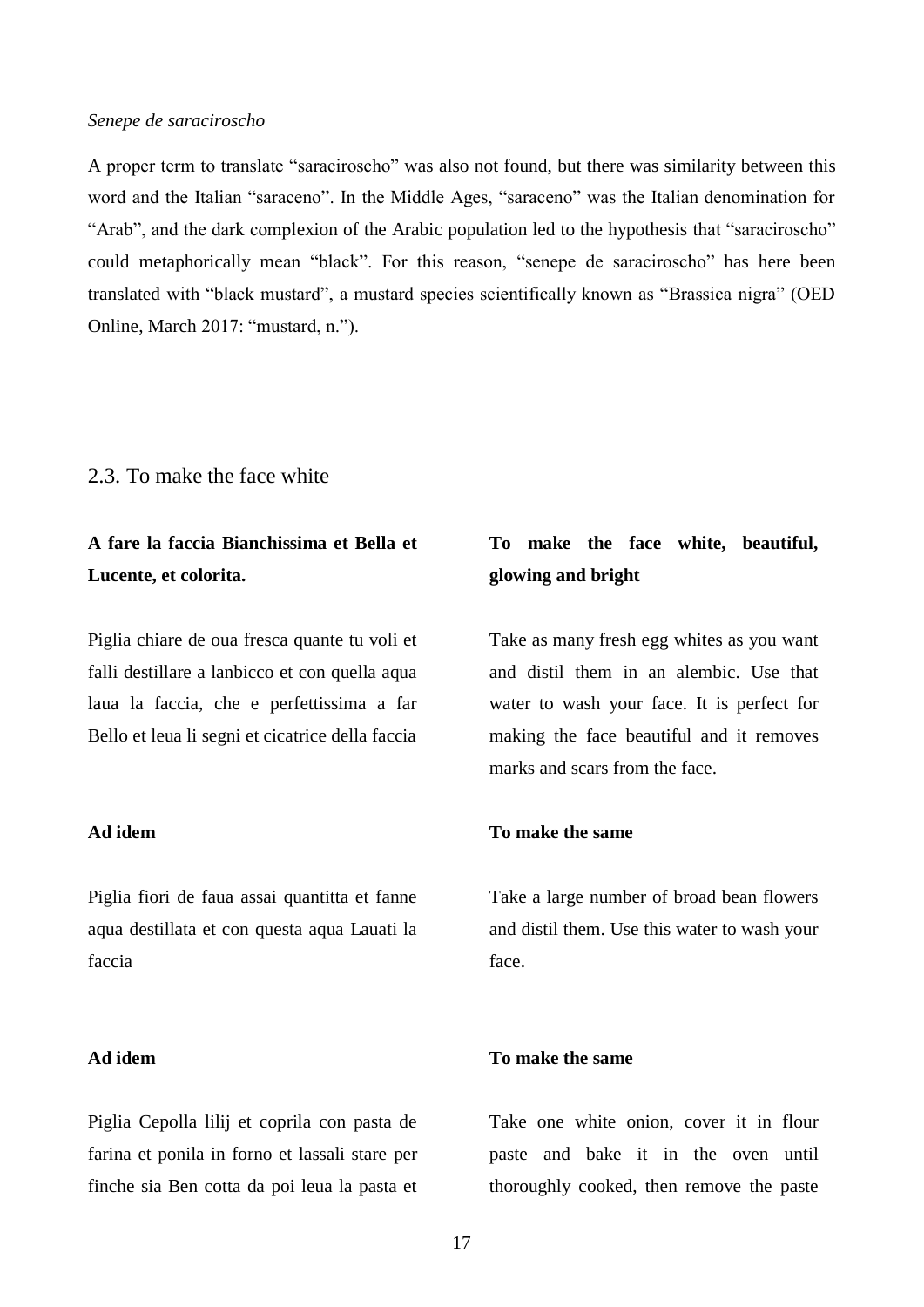#### *Senepe de saraciroscho*

A proper term to translate "saraciroscho" was also not found, but there was similarity between this word and the Italian "saraceno". In the Middle Ages, "saraceno" was the Italian denomination for "Arab", and the dark complexion of the Arabic population led to the hypothesis that "saraciroscho" could metaphorically mean "black". For this reason, "senepe de saraciroscho" has here been translated with "black mustard", a mustard species scientifically known as "Brassica nigra" (OED Online, March 2017: "mustard, n.").

#### <span id="page-17-0"></span>2.3. To make the face white

# **A fare la faccia Bianchissima et Bella et Lucente, et colorita.**

Piglia chiare de oua fresca quante tu voli et falli destillare a lanbicco et con quella aqua laua la faccia, che e perfettissima a far Bello et leua li segni et cicatrice della faccia

#### **Ad idem**

Piglia fiori de faua assai quantitta et fanne aqua destillata et con questa aqua Lauati la faccia

#### **Ad idem**

Piglia Cepolla lilij et coprila con pasta de farina et ponila in forno et lassali stare per finche sia Ben cotta da poi leua la pasta et

# **To make the face white, beautiful, glowing and bright**

Take as many fresh egg whites as you want and distil them in an alembic. Use that water to wash your face. It is perfect for making the face beautiful and it removes marks and scars from the face.

#### **To make the same**

Take a large number of broad bean flowers and distil them. Use this water to wash your face.

#### **To make the same**

Take one white onion, cover it in flour paste and bake it in the oven until thoroughly cooked, then remove the paste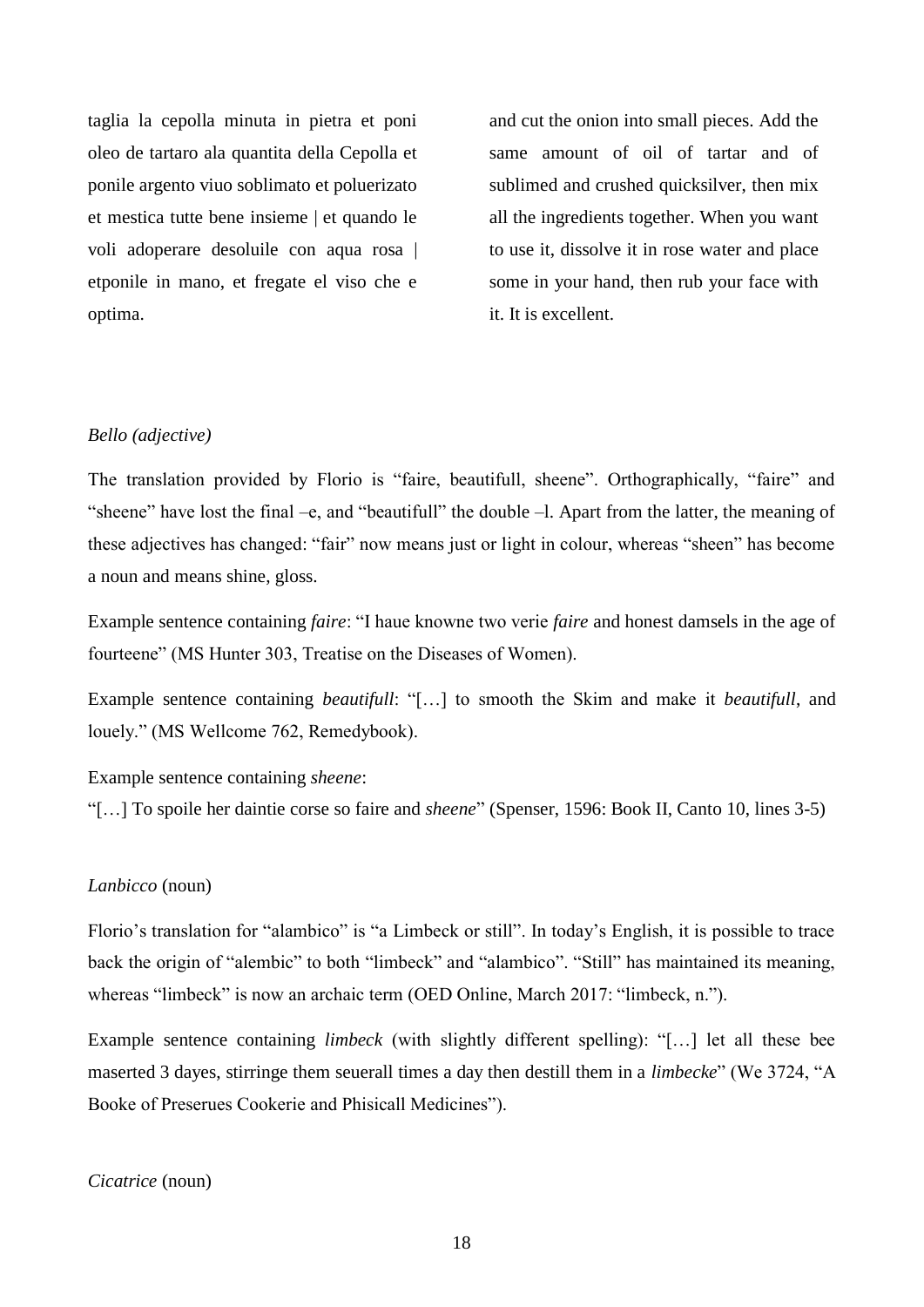taglia la cepolla minuta in pietra et poni oleo de tartaro ala quantita della Cepolla et ponile argento viuo soblimato et poluerizato et mestica tutte bene insieme | et quando le voli adoperare desoluile con aqua rosa | etponile in mano, et fregate el viso che e optima.

and cut the onion into small pieces. Add the same amount of oil of tartar and of sublimed and crushed quicksilver, then mix all the ingredients together. When you want to use it, dissolve it in rose water and place some in your hand, then rub your face with it. It is excellent.

#### *Bello (adjective)*

The translation provided by Florio is "faire, beautifull, sheene". Orthographically, "faire" and "sheene" have lost the final –e, and "beautifull" the double –l. Apart from the latter, the meaning of these adjectives has changed: "fair" now means just or light in colour, whereas "sheen" has become a noun and means shine, gloss.

Example sentence containing *faire*: "I haue knowne two verie *faire* and honest damsels in the age of fourteene" (MS Hunter 303, Treatise on the Diseases of Women).

Example sentence containing *beautifull*: "[…] to smooth the Skim and make it *beautifull*, and louely." (MS Wellcome 762, Remedybook).

Example sentence containing *sheene*:

"[…] To spoile her daintie corse so faire and *sheene*" (Spenser, 1596: Book II, Canto 10, lines 3-5)

#### *Lanbicco* (noun)

Florio's translation for "alambico" is "a Limbeck or still". In today's English, it is possible to trace back the origin of "alembic" to both "limbeck" and "alambico". "Still" has maintained its meaning, whereas "limbeck" is now an archaic term (OED Online, March 2017: "limbeck, n.").

Example sentence containing *limbeck* (with slightly different spelling): "[…] let all these bee maserted 3 dayes, stirringe them seuerall times a day then destill them in a *limbecke*" (We 3724, "A Booke of Preserues Cookerie and Phisicall Medicines").

*Cicatrice* (noun)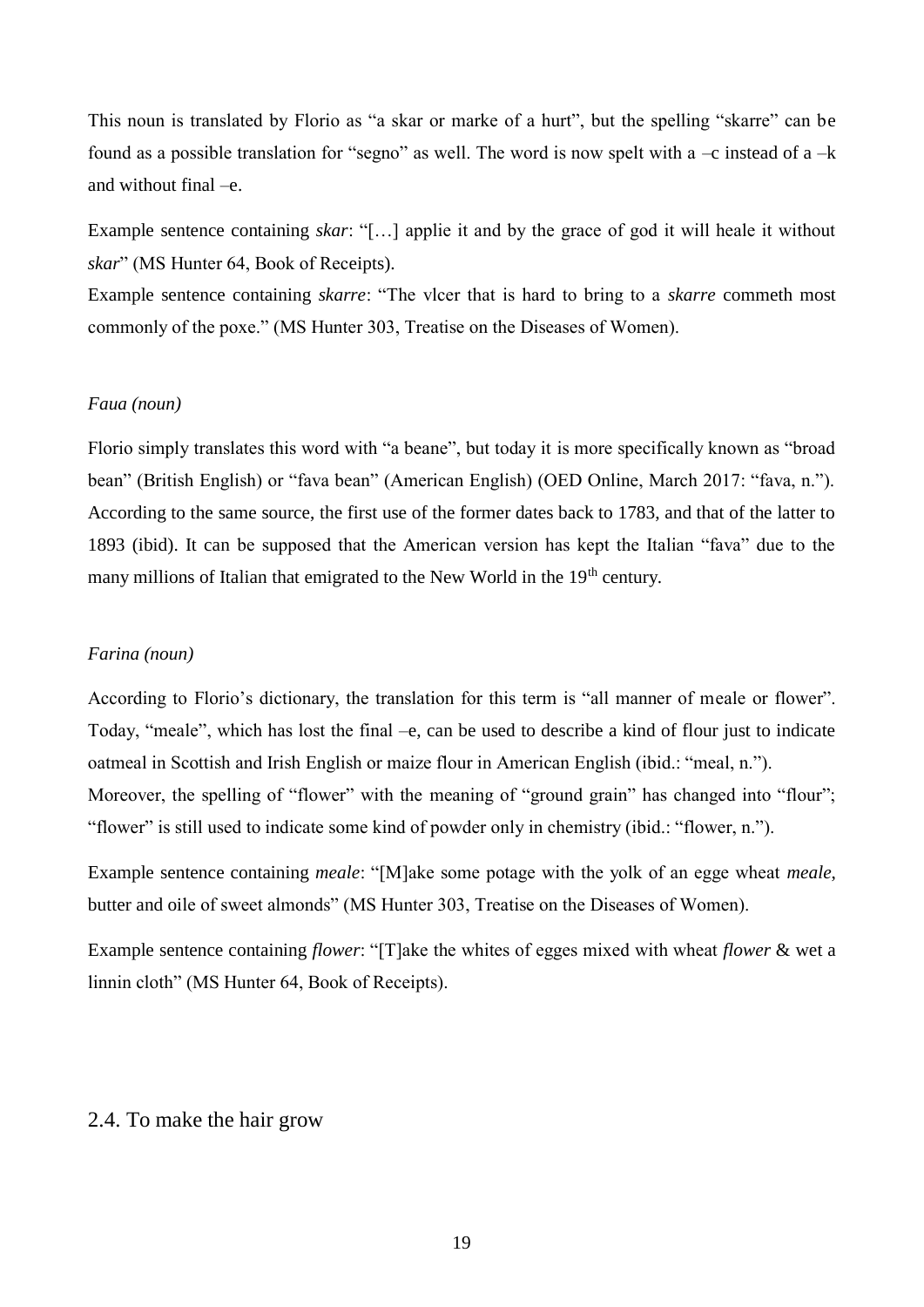This noun is translated by Florio as "a skar or marke of a hurt", but the spelling "skarre" can be found as a possible translation for "segno" as well. The word is now spelt with a  $-c$  instead of a  $-k$ and without final –e.

Example sentence containing *skar*: "[…] applie it and by the grace of god it will heale it without *skar*" (MS Hunter 64, Book of Receipts).

Example sentence containing *skarre*: "The vlcer that is hard to bring to a *skarre* commeth most commonly of the poxe." (MS Hunter 303, Treatise on the Diseases of Women).

#### *Faua (noun)*

Florio simply translates this word with "a beane", but today it is more specifically known as "broad bean" (British English) or "fava bean" (American English) (OED Online, March 2017: "fava, n."). According to the same source, the first use of the former dates back to 1783, and that of the latter to 1893 (ibid). It can be supposed that the American version has kept the Italian "fava" due to the many millions of Italian that emigrated to the New World in the 19<sup>th</sup> century.

#### *Farina (noun)*

According to Florio's dictionary, the translation for this term is "all manner of meale or flower". Today, "meale", which has lost the final –e, can be used to describe a kind of flour just to indicate oatmeal in Scottish and Irish English or maize flour in American English (ibid.: "meal, n."). Moreover, the spelling of "flower" with the meaning of "ground grain" has changed into "flour"; "flower" is still used to indicate some kind of powder only in chemistry (ibid.: "flower, n.").

Example sentence containing *meale*: "[M]ake some potage with the yolk of an egge wheat *meale*, butter and oile of sweet almonds" (MS Hunter 303, Treatise on the Diseases of Women).

Example sentence containing *flower*: "[T]ake the whites of egges mixed with wheat *flower* & wet a linnin cloth" (MS Hunter 64, Book of Receipts).

### <span id="page-19-0"></span>2.4. To make the hair grow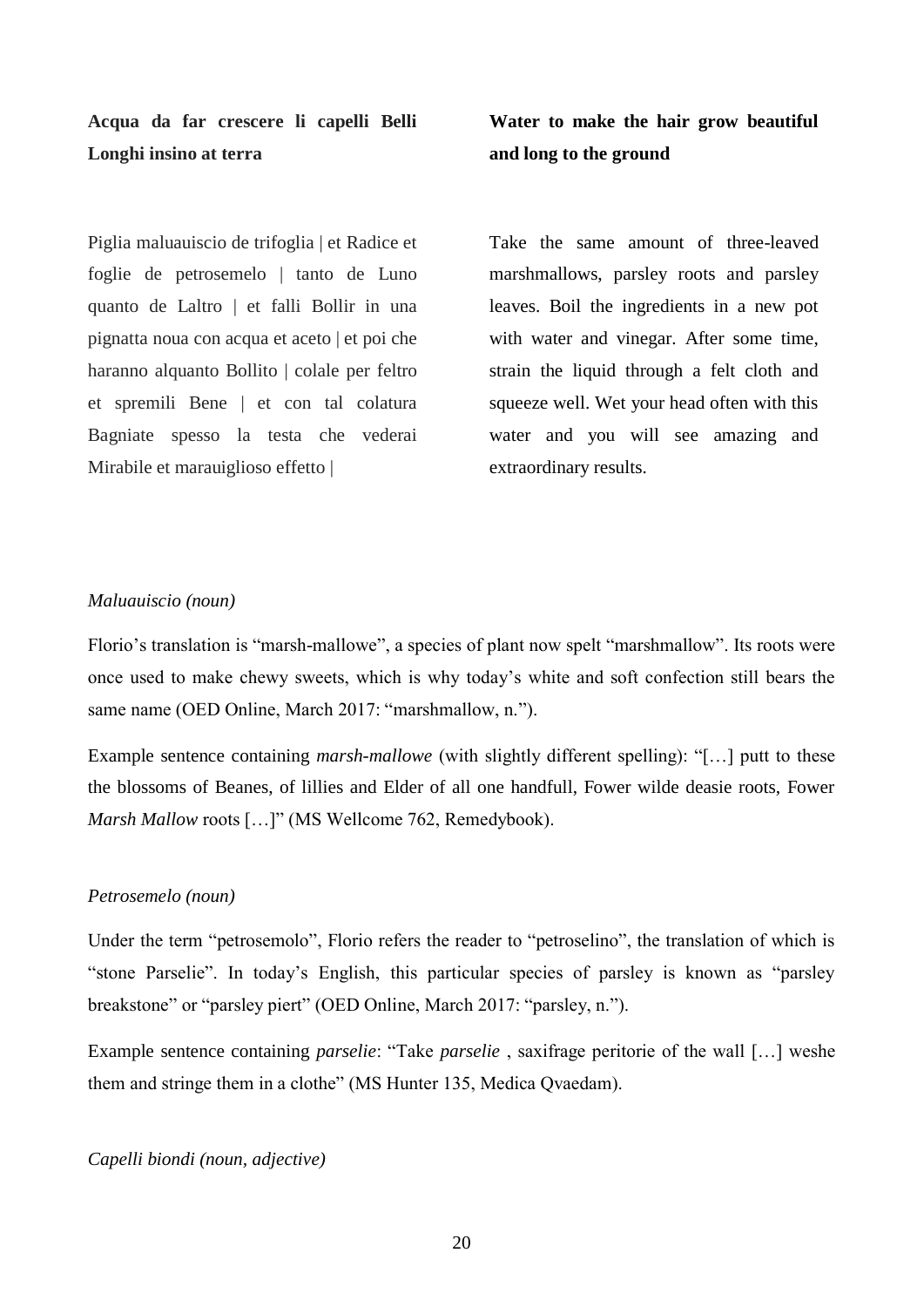**Acqua da far crescere li capelli Belli Longhi insino at terra**

**Water to make the hair grow beautiful and long to the ground**

Piglia maluauiscio de trifoglia | et Radice et foglie de petrosemelo | tanto de Luno quanto de Laltro | et falli Bollir in una pignatta noua con acqua et aceto | et poi che haranno alquanto Bollito | colale per feltro et spremili Bene | et con tal colatura Bagniate spesso la testa che vederai Mirabile et marauiglioso effetto |

Take the same amount of three-leaved marshmallows, parsley roots and parsley leaves. Boil the ingredients in a new pot with water and vinegar. After some time, strain the liquid through a felt cloth and squeeze well. Wet your head often with this water and you will see amazing and extraordinary results.

#### *Maluauiscio (noun)*

Florio's translation is "marsh-mallowe", a species of plant now spelt "marshmallow". Its roots were once used to make chewy sweets, which is why today's white and soft confection still bears the same name (OED Online, March 2017: "marshmallow, n.").

Example sentence containing *marsh-mallowe* (with slightly different spelling): "[…] putt to these the blossoms of Beanes, of lillies and Elder of all one handfull, Fower wilde deasie roots, Fower *Marsh Mallow* roots [...]" (MS Wellcome 762, Remedybook).

#### *Petrosemelo (noun)*

Under the term "petrosemolo", Florio refers the reader to "petroselino", the translation of which is "stone Parselie". In today's English, this particular species of parsley is known as "parsley breakstone" or "parsley piert" (OED Online, March 2017: "parsley, n.").

Example sentence containing *parselie*: "Take *parselie* , saxifrage peritorie of the wall […] weshe them and stringe them in a clothe" (MS Hunter 135, Medica Qvaedam).

#### *Capelli biondi (noun, adjective)*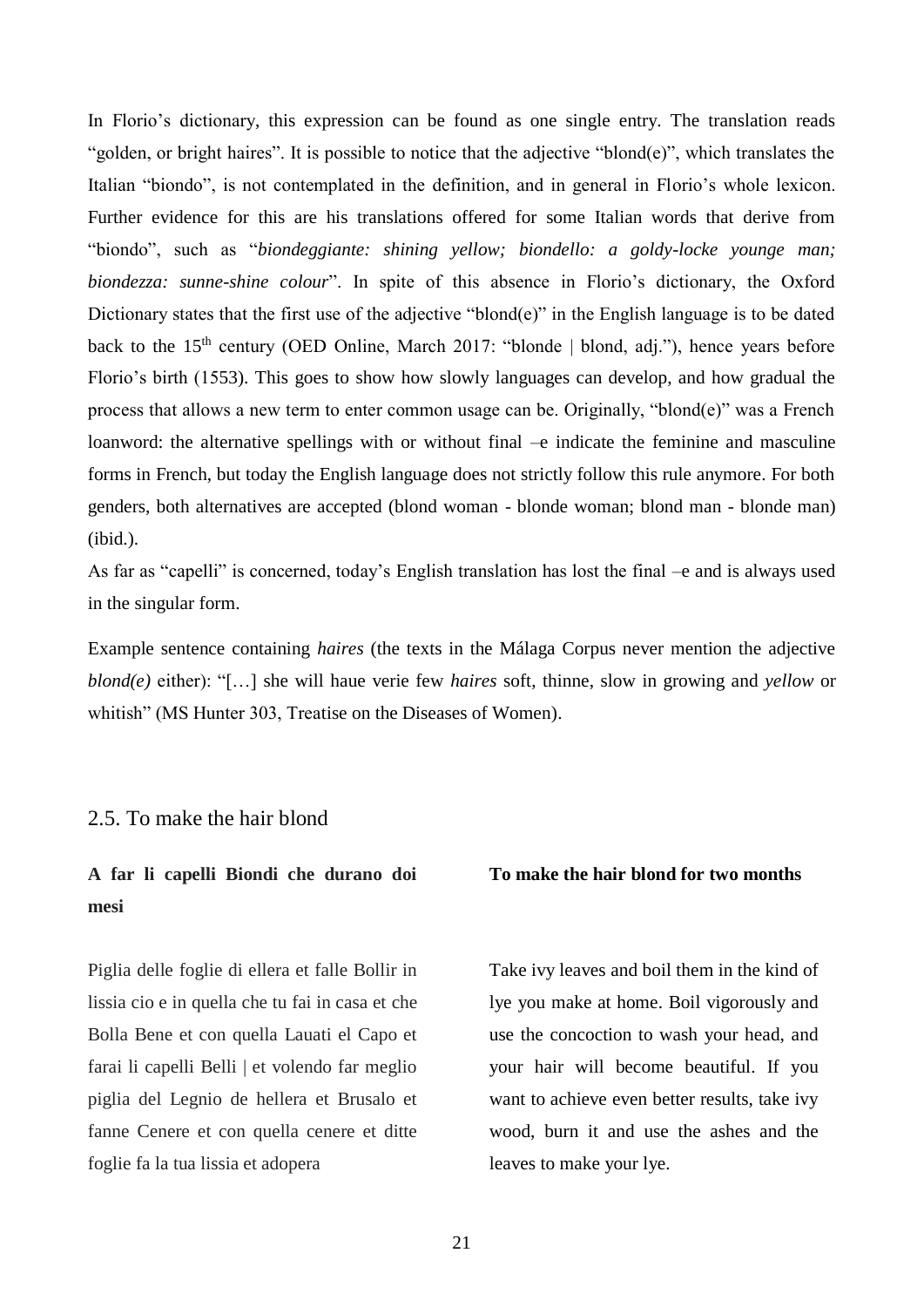In Florio's dictionary, this expression can be found as one single entry. The translation reads "golden, or bright haires". It is possible to notice that the adjective "blond(e)", which translates the Italian "biondo", is not contemplated in the definition, and in general in Florio's whole lexicon. Further evidence for this are his translations offered for some Italian words that derive from "biondo", such as "*biondeggiante: shining yellow; biondello: a goldy-locke younge man; biondezza: sunne-shine colour*". In spite of this absence in Florio's dictionary, the Oxford Dictionary states that the first use of the adjective "blond(e)" in the English language is to be dated back to the 15<sup>th</sup> century (OED Online, March 2017: "blonde | blond, adj."), hence years before Florio's birth (1553). This goes to show how slowly languages can develop, and how gradual the process that allows a new term to enter common usage can be. Originally, "blond(e)" was a French loanword: the alternative spellings with or without final –e indicate the feminine and masculine forms in French, but today the English language does not strictly follow this rule anymore. For both genders, both alternatives are accepted (blond woman - blonde woman; blond man - blonde man) (ibid.).

As far as "capelli" is concerned, today's English translation has lost the final –e and is always used in the singular form.

Example sentence containing *haires* (the texts in the Málaga Corpus never mention the adjective *blond(e)* either): "[…] she will haue verie few *haires* soft, thinne, slow in growing and *yellow* or whitish" (MS Hunter 303, Treatise on the Diseases of Women).

#### <span id="page-21-0"></span>2.5. To make the hair blond

# **A far li capelli Biondi che durano doi mesi**

Piglia delle foglie di ellera et falle Bollir in lissia cio e in quella che tu fai in casa et che Bolla Bene et con quella Lauati el Capo et farai li capelli Belli | et volendo far meglio piglia del Legnio de hellera et Brusalo et fanne Cenere et con quella cenere et ditte foglie fa la tua lissia et adopera

#### **To make the hair blond for two months**

Take ivy leaves and boil them in the kind of lye you make at home. Boil vigorously and use the concoction to wash your head, and your hair will become beautiful. If you want to achieve even better results, take ivy wood, burn it and use the ashes and the leaves to make your lye.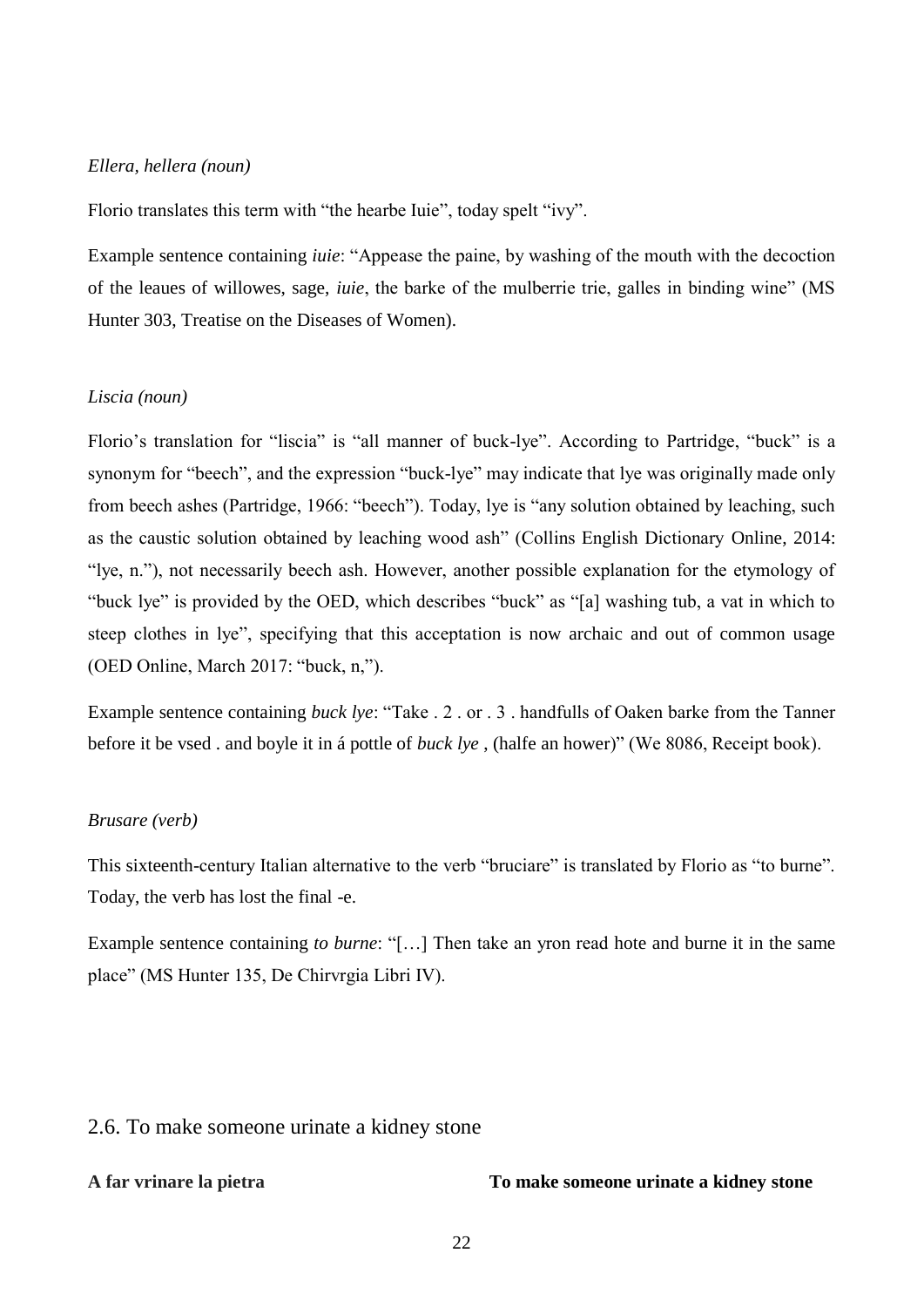#### *Ellera, hellera (noun)*

Florio translates this term with "the hearbe Iuie", today spelt "ivy".

Example sentence containing *iuie*: "Appease the paine, by washing of the mouth with the decoction of the leaues of willowes, sage, *iuie*, the barke of the mulberrie trie, galles in binding wine" (MS Hunter 303, Treatise on the Diseases of Women).

#### *Liscia (noun)*

Florio's translation for "liscia" is "all manner of buck-lye". According to Partridge, "buck" is a synonym for "beech", and the expression "buck-lye" may indicate that lye was originally made only from beech ashes (Partridge, 1966: "beech"). Today, lye is "any solution obtained by leaching, such as the caustic solution obtained by leaching wood ash" (Collins English Dictionary Online, 2014: "lye, n."), not necessarily beech ash. However, another possible explanation for the etymology of "buck lye" is provided by the OED, which describes "buck" as "[a] washing tub, a vat in which to steep clothes in lye", specifying that this acceptation is now archaic and out of common usage (OED Online, March 2017: "buck, n,").

Example sentence containing *buck lye*: "Take . 2 . or . 3 . handfulls of Oaken barke from the Tanner before it be vsed . and boyle it in á pottle of *buck lye* , (halfe an hower)" (We 8086, Receipt book).

#### *Brusare (verb)*

This sixteenth-century Italian alternative to the verb "bruciare" is translated by Florio as "to burne". Today, the verb has lost the final -e.

Example sentence containing *to burne*: "[…] Then take an yron read hote and burne it in the same place" (MS Hunter 135, De Chirvrgia Libri IV).

### <span id="page-22-0"></span>2.6. To make someone urinate a kidney stone

**A far vrinare la pietra To make someone urinate a kidney stone**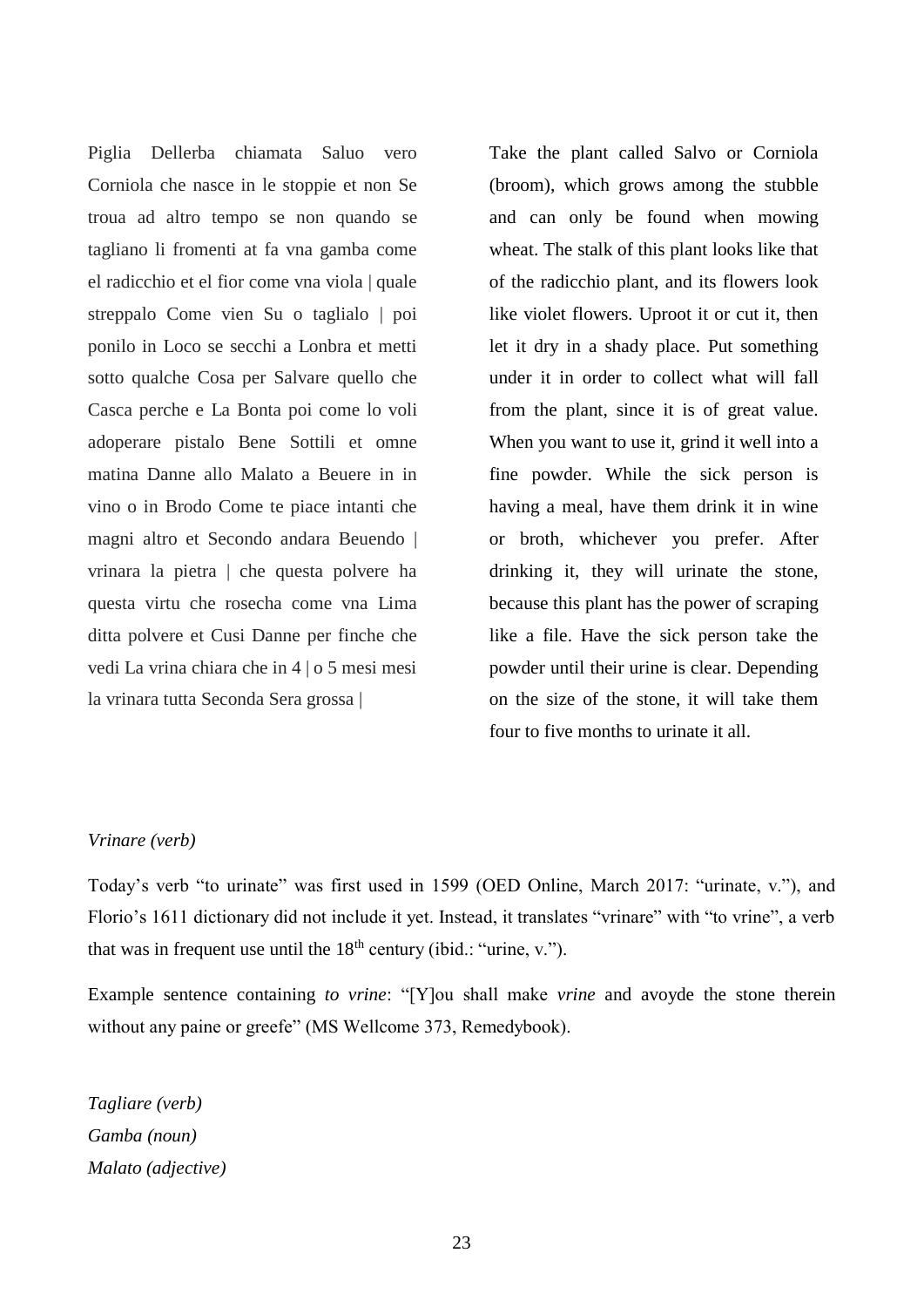Piglia Dellerba chiamata Saluo vero Corniola che nasce in le stoppie et non Se troua ad altro tempo se non quando se tagliano li fromenti at fa vna gamba come el radicchio et el fior come vna viola | quale streppalo Come vien Su o taglialo | poi ponilo in Loco se secchi a Lonbra et metti sotto qualche Cosa per Salvare quello che Casca perche e La Bonta poi come lo voli adoperare pistalo Bene Sottili et omne matina Danne allo Malato a Beuere in in vino o in Brodo Come te piace intanti che magni altro et Secondo andara Beuendo | vrinara la pietra | che questa polvere ha questa virtu che rosecha come vna Lima ditta polvere et Cusi Danne per finche che vedi La vrina chiara che in 4 | o 5 mesi mesi la vrinara tutta Seconda Sera grossa |

Take the plant called Salvo or Corniola (broom), which grows among the stubble and can only be found when mowing wheat. The stalk of this plant looks like that of the radicchio plant, and its flowers look like violet flowers. Uproot it or cut it, then let it dry in a shady place. Put something under it in order to collect what will fall from the plant, since it is of great value. When you want to use it, grind it well into a fine powder. While the sick person is having a meal, have them drink it in wine or broth, whichever you prefer. After drinking it, they will urinate the stone, because this plant has the power of scraping like a file. Have the sick person take the powder until their urine is clear. Depending on the size of the stone, it will take them four to five months to urinate it all.

#### *Vrinare (verb)*

Today's verb "to urinate" was first used in 1599 (OED Online, March 2017: "urinate, v."), and Florio's 1611 dictionary did not include it yet. Instead, it translates "vrinare" with "to vrine", a verb that was in frequent use until the  $18<sup>th</sup>$  century (ibid.: "urine, v.").

Example sentence containing *to vrine*: "[Y]ou shall make *vrine* and avoyde the stone therein without any paine or greefe" (MS Wellcome 373, Remedybook).

*Tagliare (verb) Gamba (noun) Malato (adjective)*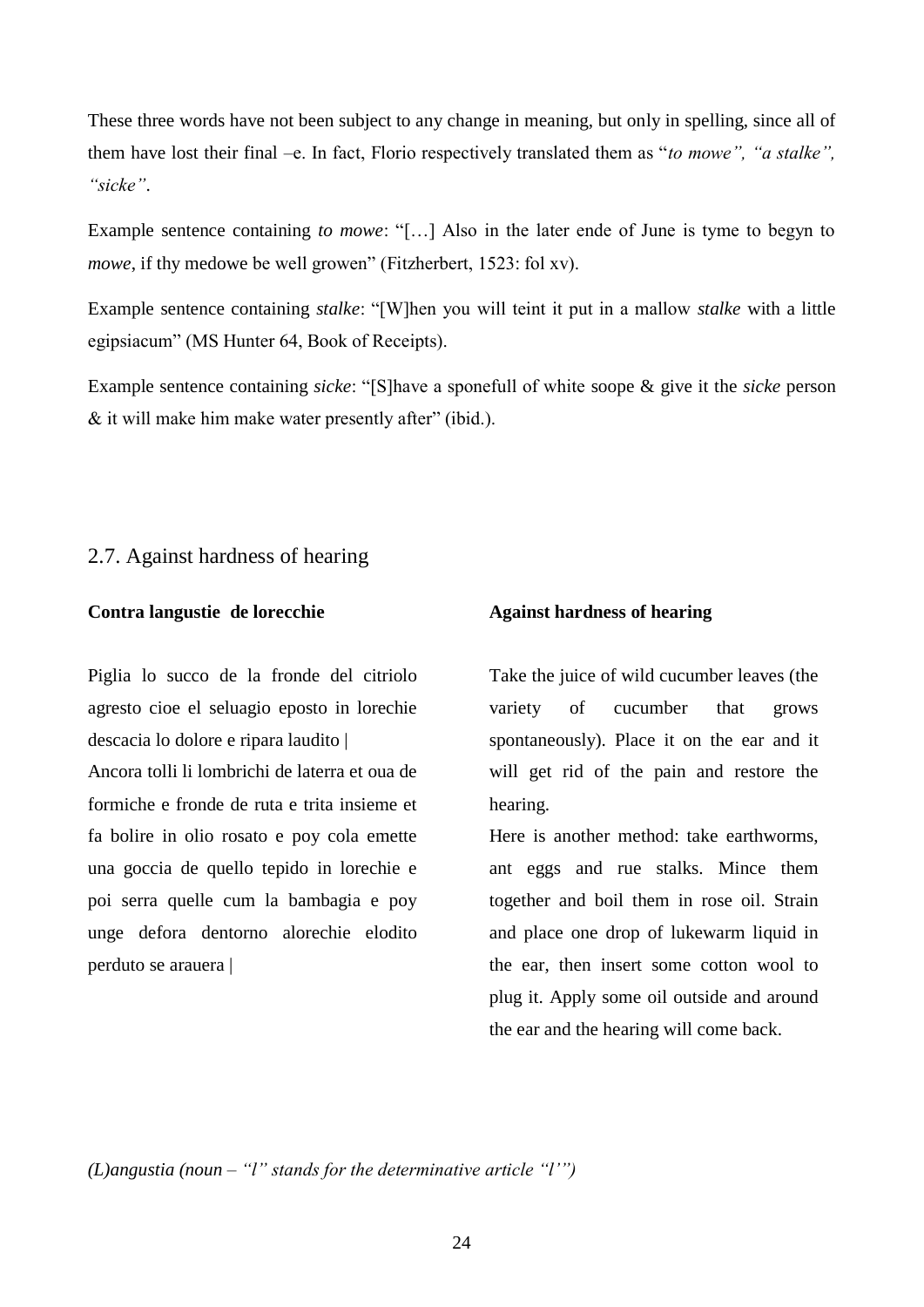These three words have not been subject to any change in meaning, but only in spelling, since all of them have lost their final –e. In fact, Florio respectively translated them as "*to mowe", "a stalke", "sicke"*.

Example sentence containing *to mowe*: "[…] Also in the later ende of June is tyme to begyn to *mowe*, if thy medowe be well growen" (Fitzherbert, 1523: fol xv).

Example sentence containing *stalke*: "[W]hen you will teint it put in a mallow *stalke* with a little egipsiacum" (MS Hunter 64, Book of Receipts).

Example sentence containing *sicke*: "[S]have a sponefull of white soope & give it the *sicke* person & it will make him make water presently after" (ibid.).

#### <span id="page-24-0"></span>2.7. Against hardness of hearing

#### **Contra langustie de lorecchie**

Piglia lo succo de la fronde del citriolo agresto cioe el seluagio eposto in lorechie descacia lo dolore e ripara laudito | Ancora tolli li lombrichi de laterra et oua de formiche e fronde de ruta e trita insieme et fa bolire in olio rosato e poy cola emette una goccia de quello tepido in lorechie e poi serra quelle cum la bambagia e poy unge defora dentorno alorechie elodito perduto se arauera |

#### **Against hardness of hearing**

Take the juice of wild cucumber leaves (the variety of cucumber that grows spontaneously). Place it on the ear and it will get rid of the pain and restore the hearing.

Here is another method: take earthworms, ant eggs and rue stalks. Mince them together and boil them in rose oil. Strain and place one drop of lukewarm liquid in the ear, then insert some cotton wool to plug it. Apply some oil outside and around the ear and the hearing will come back.

*(L)angustia (noun – "l" stands for the determinative article "l'")*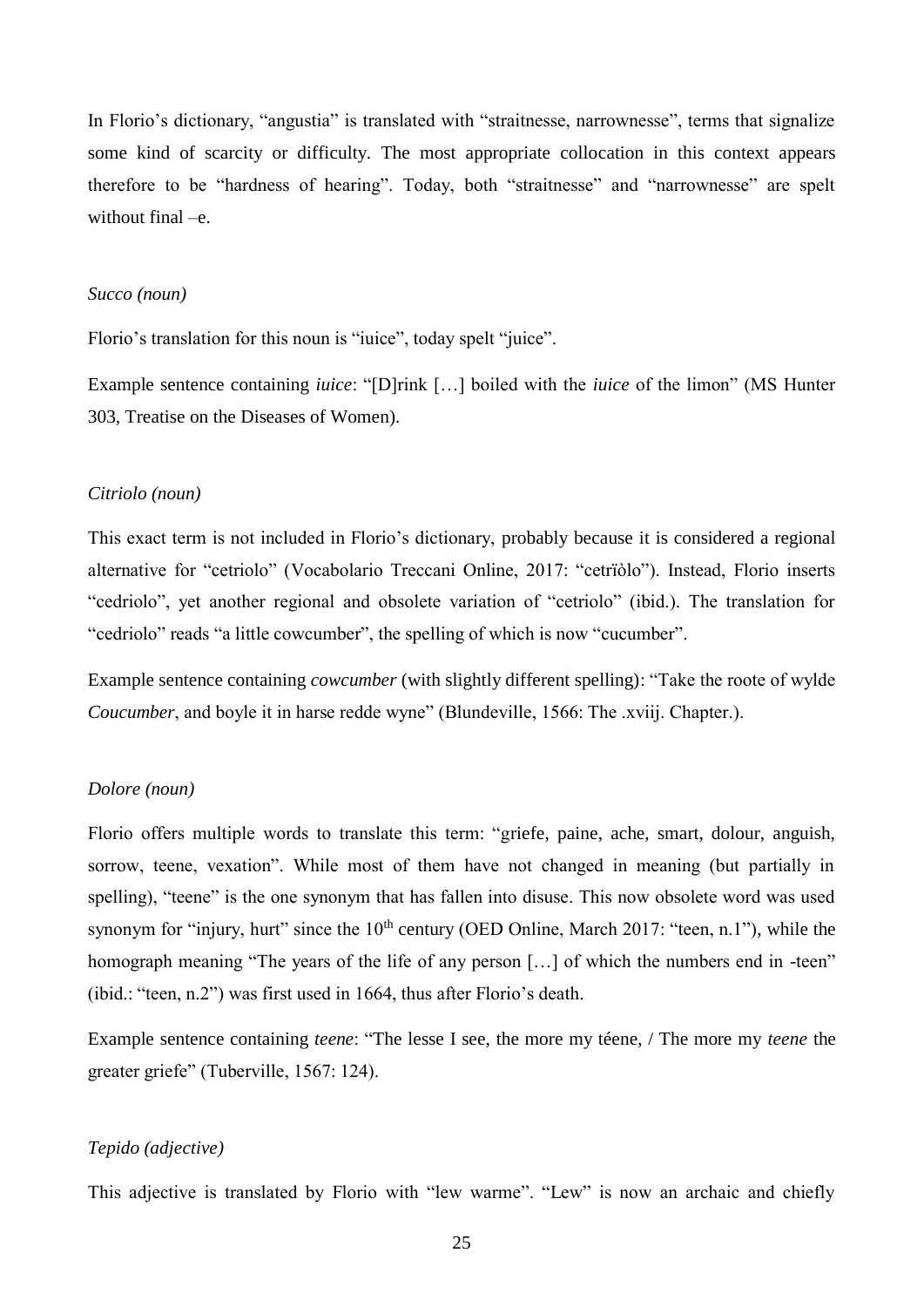In Florio's dictionary, "angustia" is translated with "straitnesse, narrownesse", terms that signalize some kind of scarcity or difficulty. The most appropriate collocation in this context appears therefore to be "hardness of hearing". Today, both "straitnesse" and "narrownesse" are spelt without final –e.

#### *Succo (noun)*

Florio's translation for this noun is "iuice", today spelt "juice".

Example sentence containing *iuice*: "[D]rink […] boiled with the *iuice* of the limon" (MS Hunter 303, Treatise on the Diseases of Women).

#### *Citriolo (noun)*

This exact term is not included in Florio's dictionary, probably because it is considered a regional alternative for "cetriolo" (Vocabolario Treccani Online, 2017: "cetrïòlo"). Instead, Florio inserts "cedriolo", yet another regional and obsolete variation of "cetriolo" (ibid.). The translation for "cedriolo" reads "a little cowcumber", the spelling of which is now "cucumber".

Example sentence containing *cowcumber* (with slightly different spelling): "Take the roote of wylde *Coucumber*, and boyle it in harse redde wyne" (Blundeville, 1566: The .xviij. Chapter.).

#### *Dolore (noun)*

Florio offers multiple words to translate this term: "griefe, paine, ache, smart, dolour, anguish, sorrow, teene, vexation". While most of them have not changed in meaning (but partially in spelling), "teene" is the one synonym that has fallen into disuse. This now obsolete word was used synonym for "injury, hurt" since the  $10<sup>th</sup>$  century (OED Online, March 2017: "teen, n.1"), while the homograph meaning "The years of the life of any person [...] of which the numbers end in -teen" (ibid.: "teen, n.2") was first used in 1664, thus after Florio's death.

Example sentence containing *teene*: "The lesse I see, the more my téene, / The more my *teene* the greater griefe" (Tuberville, 1567: 124).

#### *Tepido (adjective)*

This adjective is translated by Florio with "lew warme". "Lew" is now an archaic and chiefly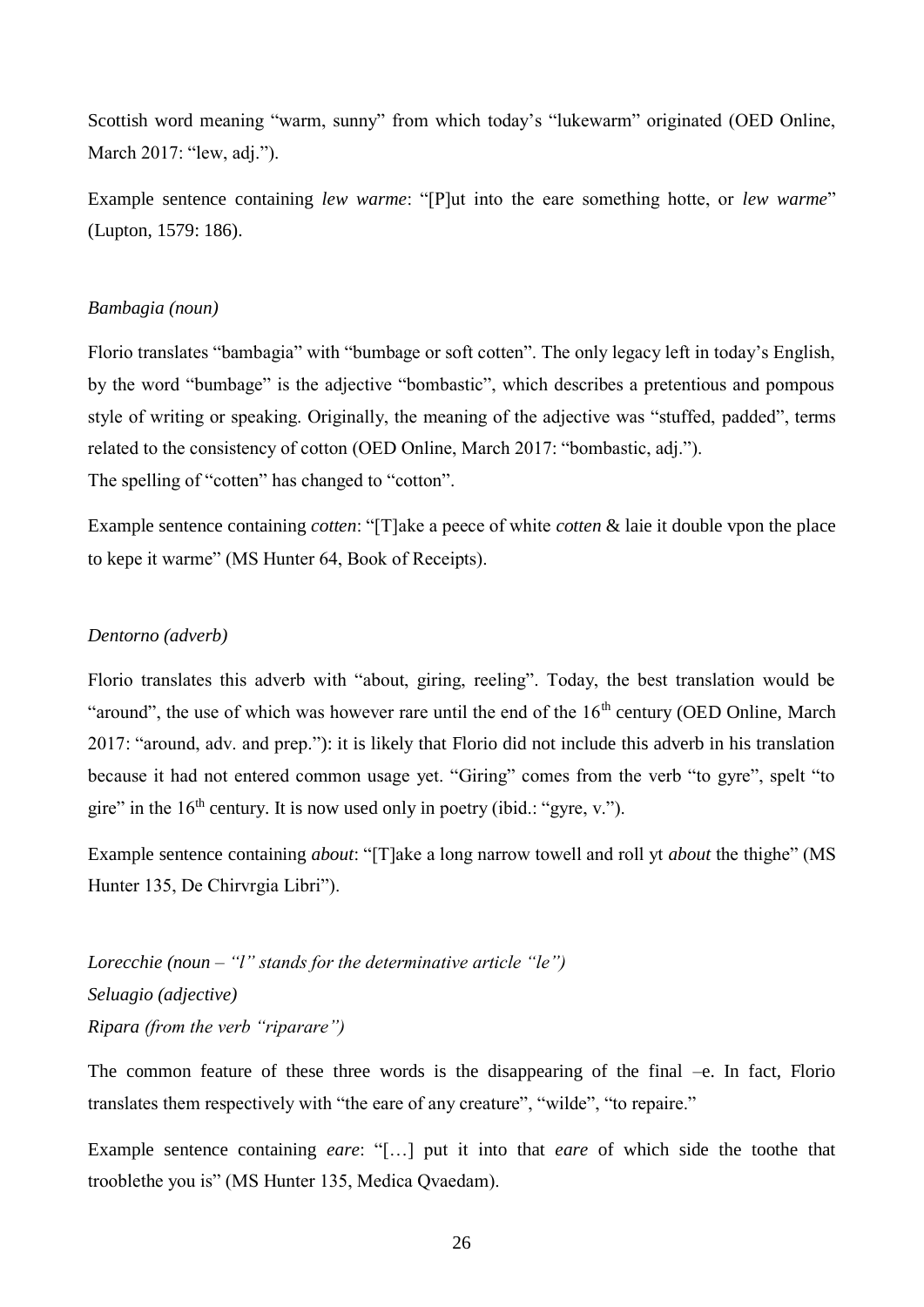Scottish word meaning "warm, sunny" from which today's "lukewarm" originated (OED Online, March 2017: "lew, adj.").

Example sentence containing *lew warme*: "[P]ut into the eare something hotte, or *lew warme*" (Lupton, 1579: 186).

#### *Bambagia (noun)*

Florio translates "bambagia" with "bumbage or soft cotten". The only legacy left in today's English, by the word "bumbage" is the adjective "bombastic", which describes a pretentious and pompous style of writing or speaking. Originally, the meaning of the adjective was "stuffed, padded", terms related to the consistency of cotton (OED Online, March 2017: "bombastic, adj."). The spelling of "cotten" has changed to "cotton".

Example sentence containing *cotten*: "[T]ake a peece of white *cotten* & laie it double vpon the place to kepe it warme" (MS Hunter 64, Book of Receipts).

#### *Dentorno (adverb)*

Florio translates this adverb with "about, giring, reeling". Today, the best translation would be "around", the use of which was however rare until the end of the  $16<sup>th</sup>$  century (OED Online, March 2017: "around, adv. and prep."): it is likely that Florio did not include this adverb in his translation because it had not entered common usage yet. "Giring" comes from the verb "to gyre", spelt "to gire" in the  $16<sup>th</sup>$  century. It is now used only in poetry (ibid.: "gyre, v.").

Example sentence containing *about*: "[T]ake a long narrow towell and roll yt *about* the thighe" (MS Hunter 135, De Chirvrgia Libri").

*Lorecchie (noun – "l" stands for the determinative article "le") Seluagio (adjective) Ripara (from the verb "riparare")* 

The common feature of these three words is the disappearing of the final –e. In fact, Florio translates them respectively with "the eare of any creature", "wilde", "to repaire."

Example sentence containing *eare*: "[…] put it into that *eare* of which side the toothe that trooblethe you is" (MS Hunter 135, Medica Qvaedam).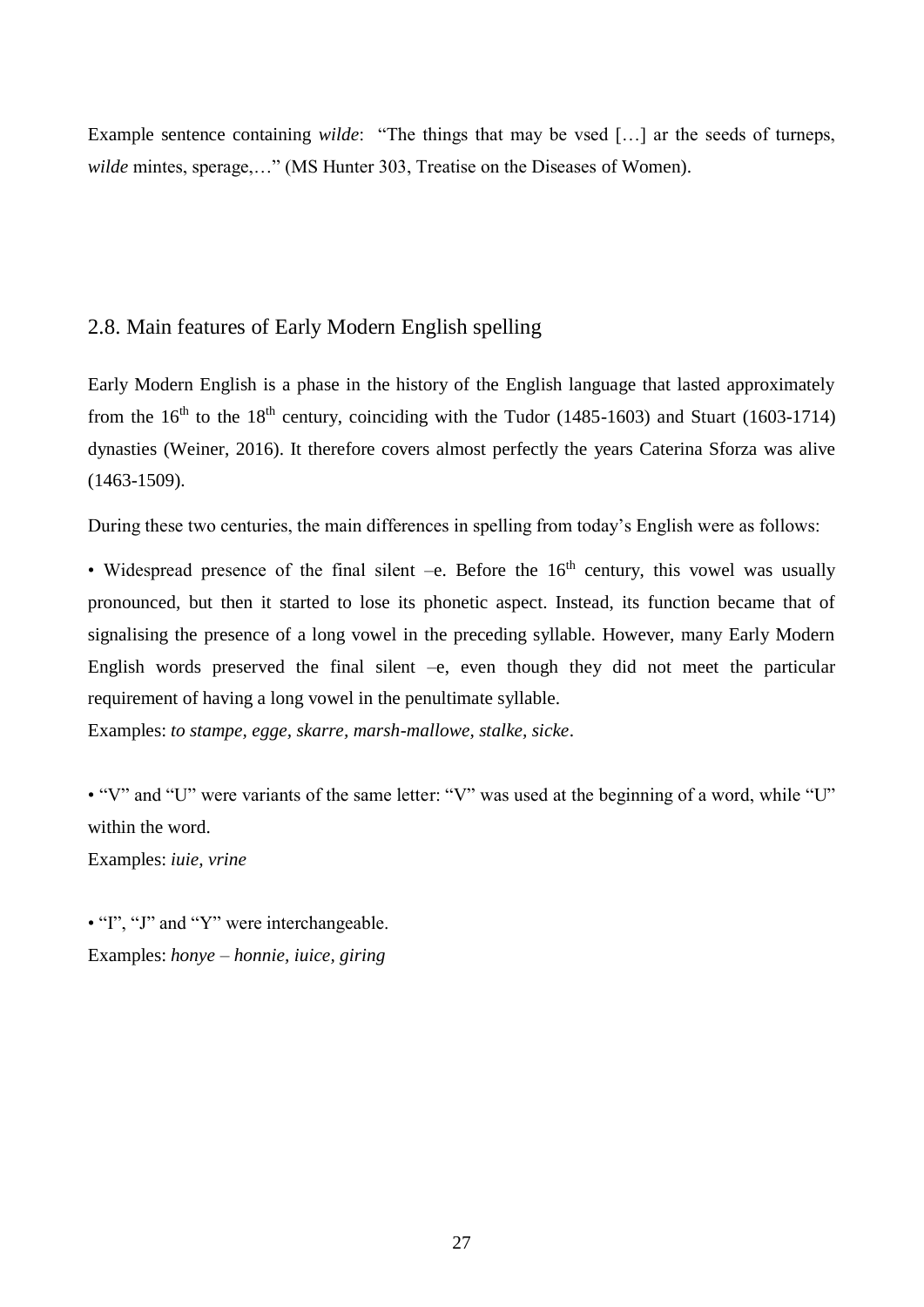Example sentence containing *wilde*: "The things that may be vsed […] ar the seeds of turneps, *wilde* mintes, sperage,…" (MS Hunter 303, Treatise on the Diseases of Women).

# <span id="page-27-0"></span>2.8. Main features of Early Modern English spelling

Early Modern English is a phase in the history of the English language that lasted approximately from the  $16<sup>th</sup>$  to the  $18<sup>th</sup>$  century, coinciding with the Tudor (1485-1603) and Stuart (1603-1714) dynasties (Weiner, 2016). It therefore covers almost perfectly the years Caterina Sforza was alive (1463-1509).

During these two centuries, the main differences in spelling from today's English were as follows:

• Widespread presence of the final silent –e. Before the  $16<sup>th</sup>$  century, this vowel was usually pronounced, but then it started to lose its phonetic aspect. Instead, its function became that of signalising the presence of a long vowel in the preceding syllable. However, many Early Modern English words preserved the final silent  $-e$ , even though they did not meet the particular requirement of having a long vowel in the penultimate syllable.

Examples: *to stampe, egge, skarre, marsh-mallowe, stalke, sicke*.

• "V" and "U" were variants of the same letter: "V" was used at the beginning of a word, while "U" within the word.

Examples: *iuie, vrine*

• "I", "J" and "Y" were interchangeable. Examples: *honye – honnie, iuice, giring*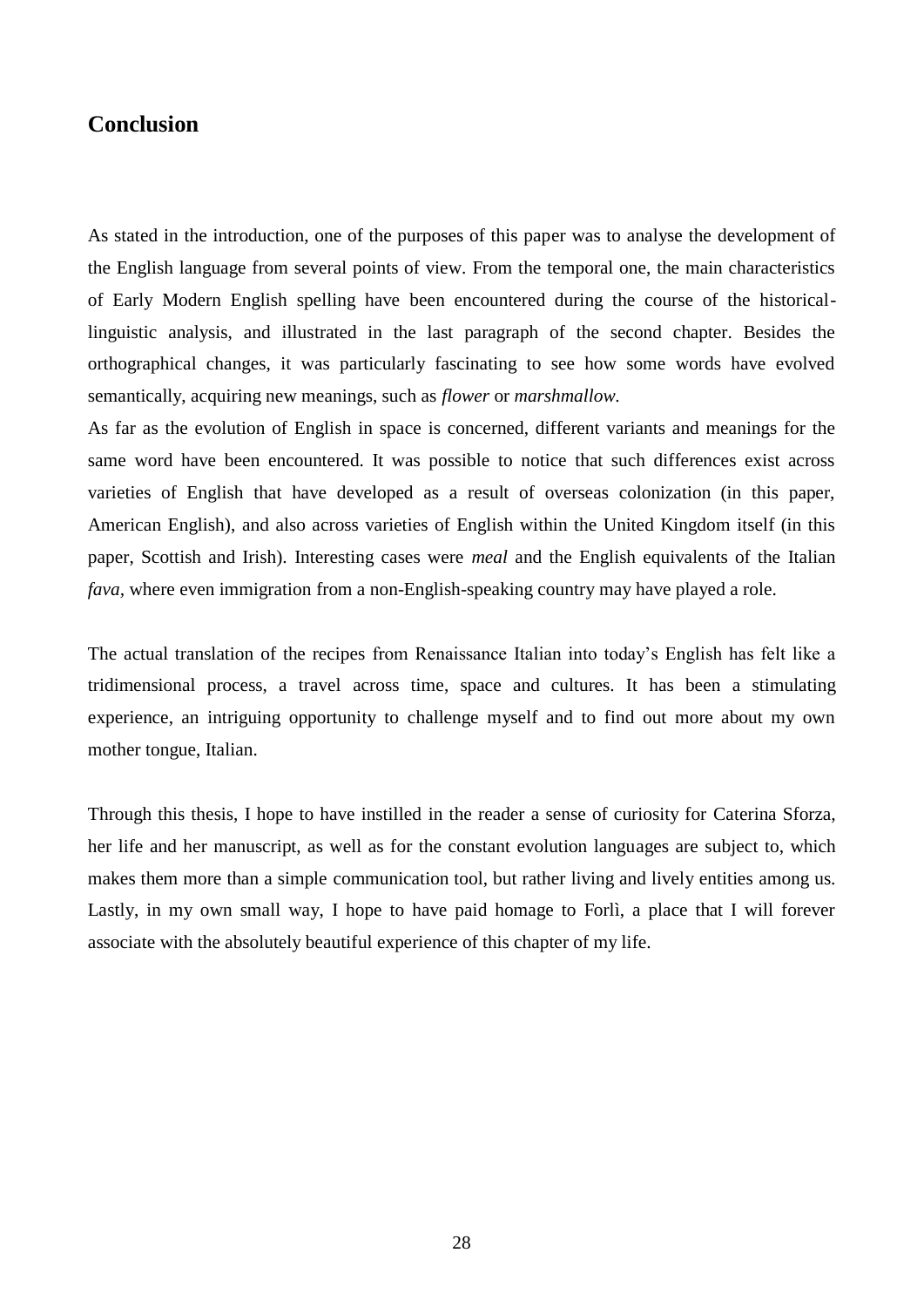# <span id="page-28-0"></span>**Conclusion**

As stated in the introduction, one of the purposes of this paper was to analyse the development of the English language from several points of view. From the temporal one, the main characteristics of Early Modern English spelling have been encountered during the course of the historicallinguistic analysis, and illustrated in the last paragraph of the second chapter. Besides the orthographical changes, it was particularly fascinating to see how some words have evolved semantically, acquiring new meanings, such as *flower* or *marshmallow.*

As far as the evolution of English in space is concerned, different variants and meanings for the same word have been encountered. It was possible to notice that such differences exist across varieties of English that have developed as a result of overseas colonization (in this paper, American English), and also across varieties of English within the United Kingdom itself (in this paper, Scottish and Irish). Interesting cases were *meal* and the English equivalents of the Italian *fava,* where even immigration from a non-English-speaking country may have played a role.

The actual translation of the recipes from Renaissance Italian into today's English has felt like a tridimensional process, a travel across time, space and cultures. It has been a stimulating experience, an intriguing opportunity to challenge myself and to find out more about my own mother tongue, Italian.

<span id="page-28-1"></span>Through this thesis, I hope to have instilled in the reader a sense of curiosity for Caterina Sforza, her life and her manuscript, as well as for the constant evolution languages are subject to, which makes them more than a simple communication tool, but rather living and lively entities among us. Lastly, in my own small way, I hope to have paid homage to Forlì, a place that I will forever associate with the absolutely beautiful experience of this chapter of my life.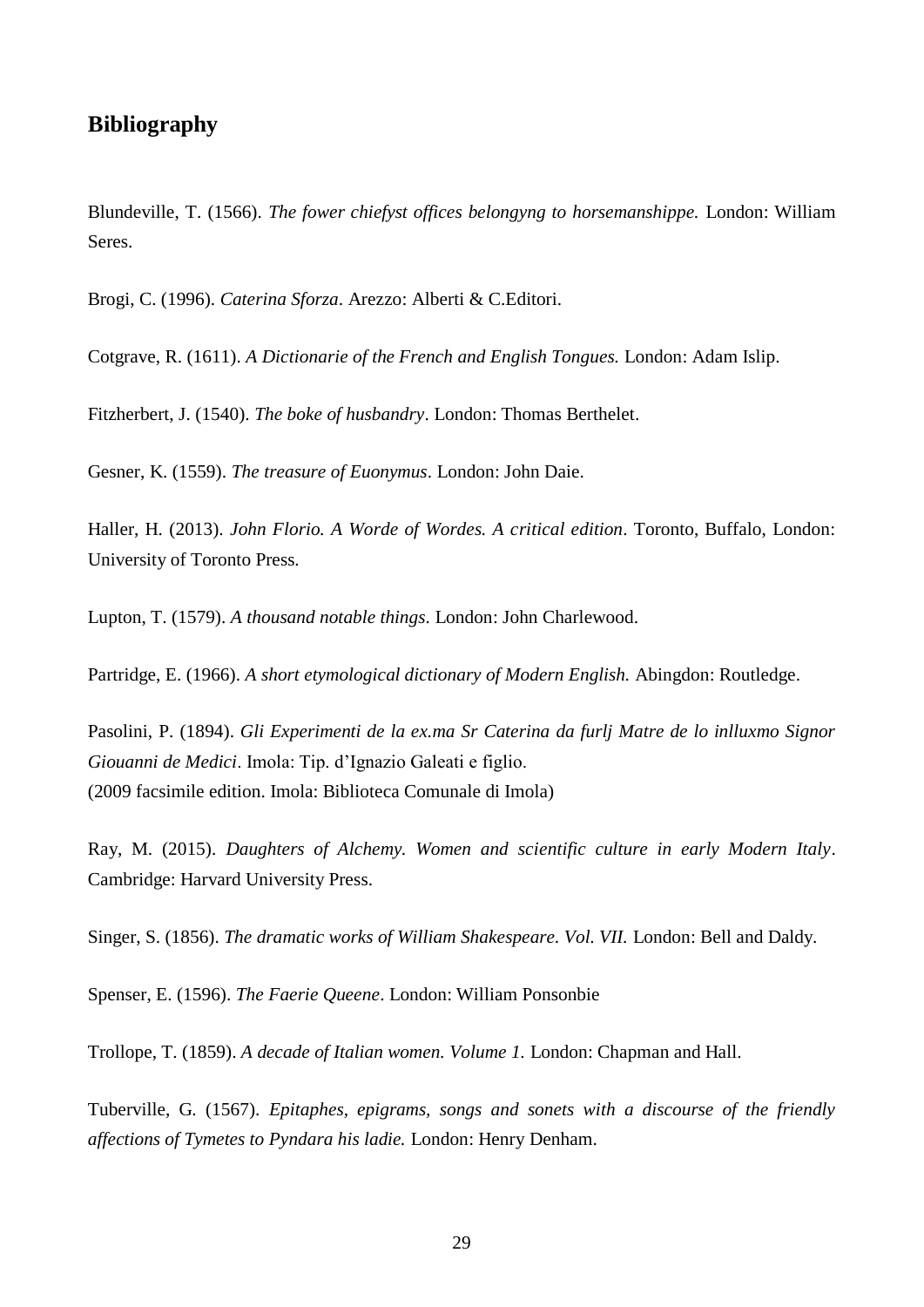# **Bibliography**

Blundeville, T. (1566). *The fower chiefyst offices belongyng to horsemanshippe.* London: William Seres.

Brogi, C. (1996). *Caterina Sforza*. Arezzo: Alberti & C.Editori.

Cotgrave, R. (1611). *A Dictionarie of the French and English Tongues.* London: Adam Islip.

Fitzherbert, J. (1540). *The boke of husbandry*. London: Thomas Berthelet.

Gesner, K. (1559). *The treasure of Euonymus*. London: John Daie.

Haller, H. (2013). *John Florio. A Worde of Wordes. A critical edition*. Toronto, Buffalo, London: University of Toronto Press.

Lupton, T. (1579). *A thousand notable things*. London: John Charlewood.

Partridge, E. (1966). *A short etymological dictionary of Modern English.* Abingdon: Routledge.

Pasolini, P. (1894). *Gli Experimenti de la ex.ma Sr Caterina da furlj Matre de lo inlluxmo Signor Giouanni de Medici*. Imola: Tip. d'Ignazio Galeati e figlio. (2009 facsimile edition. Imola: Biblioteca Comunale di Imola)

Ray, M. (2015). *Daughters of Alchemy. Women and scientific culture in early Modern Italy*. Cambridge: Harvard University Press.

Singer, S. (1856). *The dramatic works of William Shakespeare. Vol. VII.* London: Bell and Daldy.

Spenser, E. (1596). *The Faerie Queene*. London: William Ponsonbie

Trollope, T. (1859). *A decade of Italian women. Volume 1.* London: Chapman and Hall.

Tuberville, G. (1567). *Epitaphes, epigrams, songs and sonets with a discourse of the friendly affections of Tymetes to Pyndara his ladie.* London: Henry Denham.